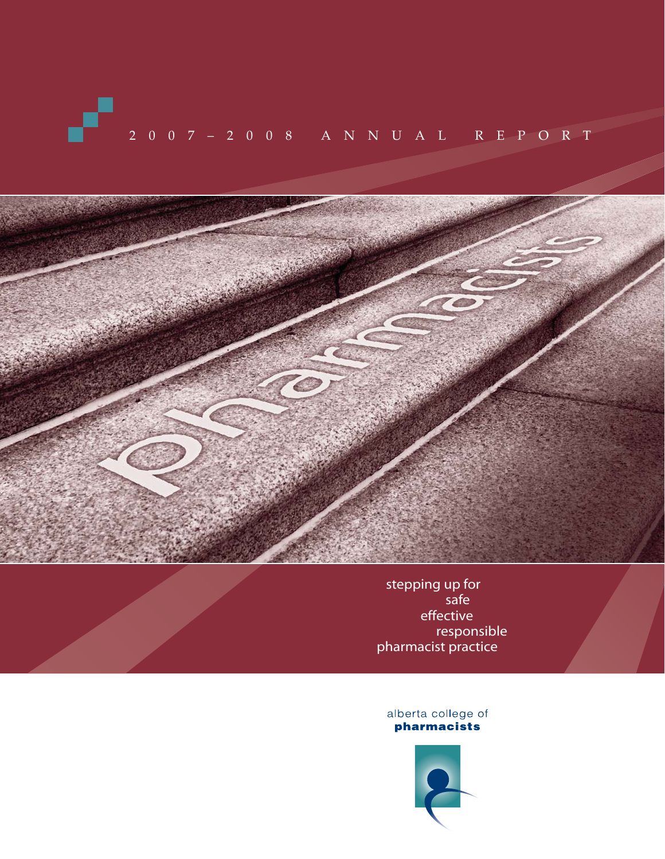# 2007–2008 ANNUAL REPORT



stepping up for safe effective responsible pharmacist practice

alberta college of<br>
pharmacists

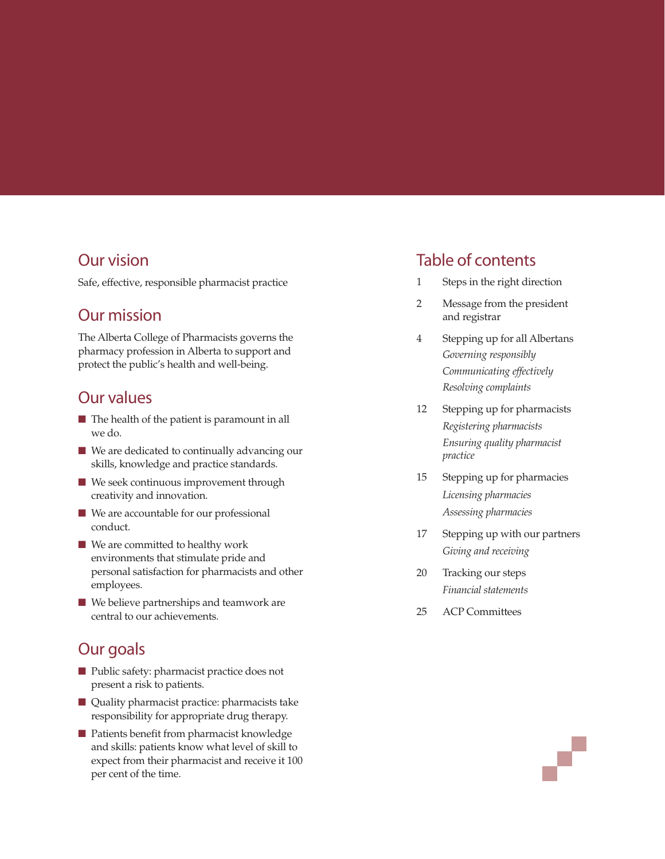# Our vision

Safe, effective, responsible pharmacist practice

# Our mission

The Alberta College of Pharmacists governs the pharmacy profession in Alberta to support and protect the public's health and well-being.

# Our values

- The health of the patient is paramount in all we do.
- We are dedicated to continually advancing our skills, knowledge and practice standards.
- We seek continuous improvement through creativity and innovation.
- We are accountable for our professional conduct.
- We are committed to healthy work environments that stimulate pride and personal satisfaction for pharmacists and other employees.
- We believe partnerships and teamwork are central to our achievements.

# Our goals

- Public safety: pharmacist practice does not present a risk to patients.
- Quality pharmacist practice: pharmacists take responsibility for appropriate drug therapy.
- Patients benefit from pharmacist knowledge and skills: patients know what level of skill to expect from their pharmacist and receive it 100 per cent of the time.

# Table of contents

- 1 Steps in the right direction
- 2 Message from the president and registrar
- 4 Stepping up for all Albertans *Governing responsibly Communicating effectively Resolving complaints*
- 12 Stepping up for pharmacists *Registering pharmacists Ensuring quality pharmacist practice*
- 15 Stepping up for pharmacies *Licensing pharmacies Assessing pharmacies*
- 17 Stepping up with our partners *Giving and receiving*
- 20 Tracking our steps *Financial statements*
- 25 ACP Committees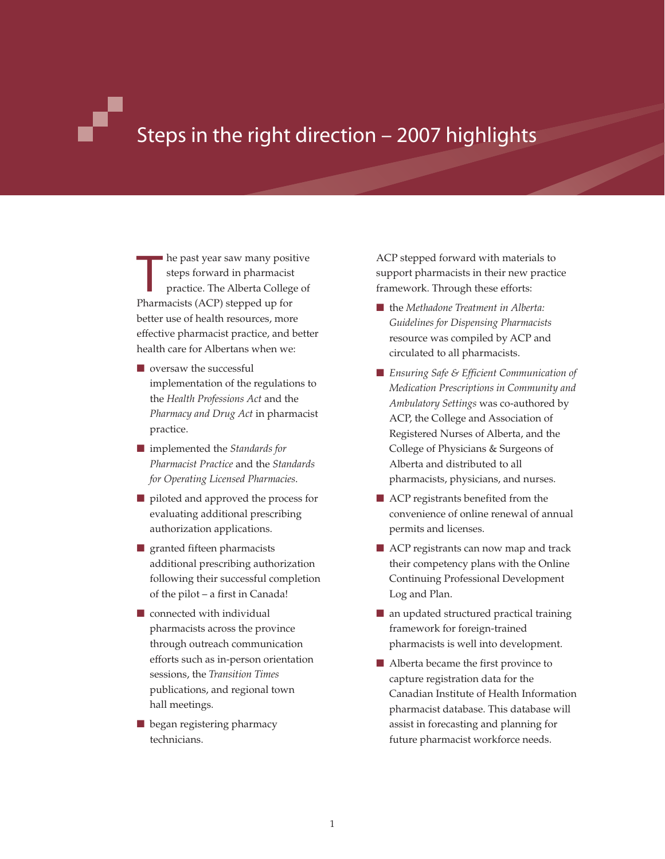# Steps in the right direction – 2007 highlights

**The past year saw many positions** steps forward in pharmacist<br>practice. The Alberta College Pharmacists (ACP) stepped up for he past year saw many positive steps forward in pharmacist practice. The Alberta College of better use of health resources, more effective pharmacist practice, and better health care for Albertans when we:

- oversaw the successful implementation of the regulations to the *Health Professions Act* and the *Pharmacy and Drug Act* in pharmacist practice.
- implemented the *Standards for Pharmacist Practice* and the *Standards for Operating Licensed Pharmacies*.
- piloted and approved the process for evaluating additional prescribing authorization applications.
- granted fifteen pharmacists additional prescribing authorization following their successful completion of the pilot – a first in Canada!
- connected with individual pharmacists across the province through outreach communication efforts such as in-person orientation sessions, the *Transition Times* publications, and regional town hall meetings.
- began registering pharmacy technicians.

ACP stepped forward with materials to support pharmacists in their new practice framework. Through these efforts:

- the *Methadone Treatment in Alberta: Guidelines for Dispensing Pharmacists* resource was compiled by ACP and circulated to all pharmacists.
- *Ensuring Safe & Efficient Communication of Medication Prescriptions in Community and Ambulatory Settings* was co-authored by ACP, the College and Association of Registered Nurses of Alberta, and the College of Physicians & Surgeons of Alberta and distributed to all pharmacists, physicians, and nurses.
- ACP registrants benefited from the convenience of online renewal of annual permits and licenses.
- ACP registrants can now map and track their competency plans with the Online Continuing Professional Development Log and Plan.
- an updated structured practical training framework for foreign-trained pharmacists is well into development.
- Alberta became the first province to capture registration data for the Canadian Institute of Health Information pharmacist database. This database will assist in forecasting and planning for future pharmacist workforce needs.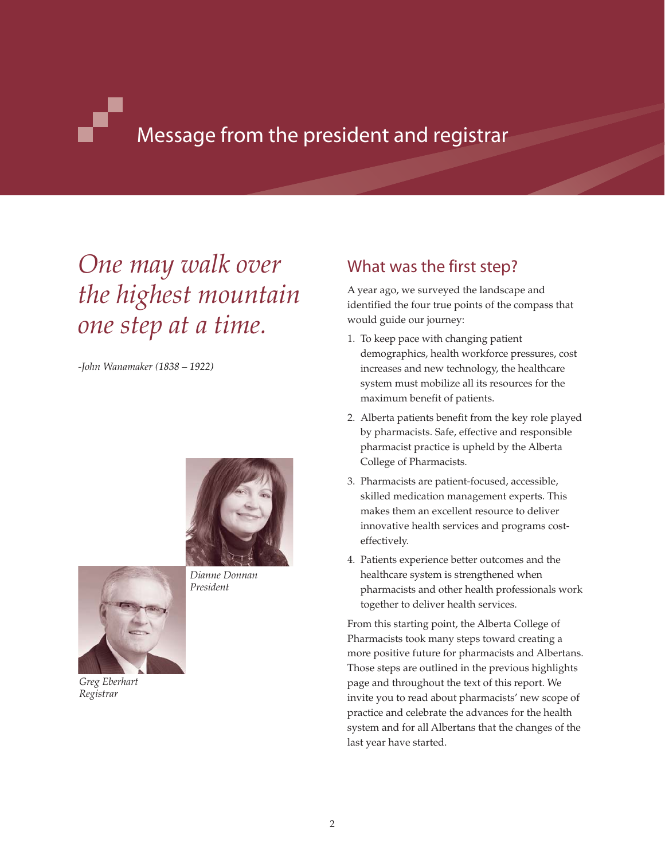# Message from the president and registrar

# *One may walk over the highest mountain one step at a time.*

*-John Wanamaker (1838 – 1922)*





*Greg Eberhart Registrar*

# What was the first step?

A year ago, we surveyed the landscape and identified the four true points of the compass that would guide our journey:

- 1. To keep pace with changing patient demographics, health workforce pressures, cost increases and new technology, the healthcare system must mobilize all its resources for the maximum benefit of patients.
- 2. Alberta patients benefit from the key role played by pharmacists. Safe, effective and responsible pharmacist practice is upheld by the Alberta College of Pharmacists.
- 3. Pharmacists are patient-focused, accessible, skilled medication management experts. This makes them an excellent resource to deliver innovative health services and programs costeffectively.
- 4. Patients experience better outcomes and the healthcare system is strengthened when pharmacists and other health professionals work together to deliver health services.

From this starting point, the Alberta College of Pharmacists took many steps toward creating a more positive future for pharmacists and Albertans. Those steps are outlined in the previous highlights page and throughout the text of this report. We invite you to read about pharmacists' new scope of practice and celebrate the advances for the health system and for all Albertans that the changes of the last year have started.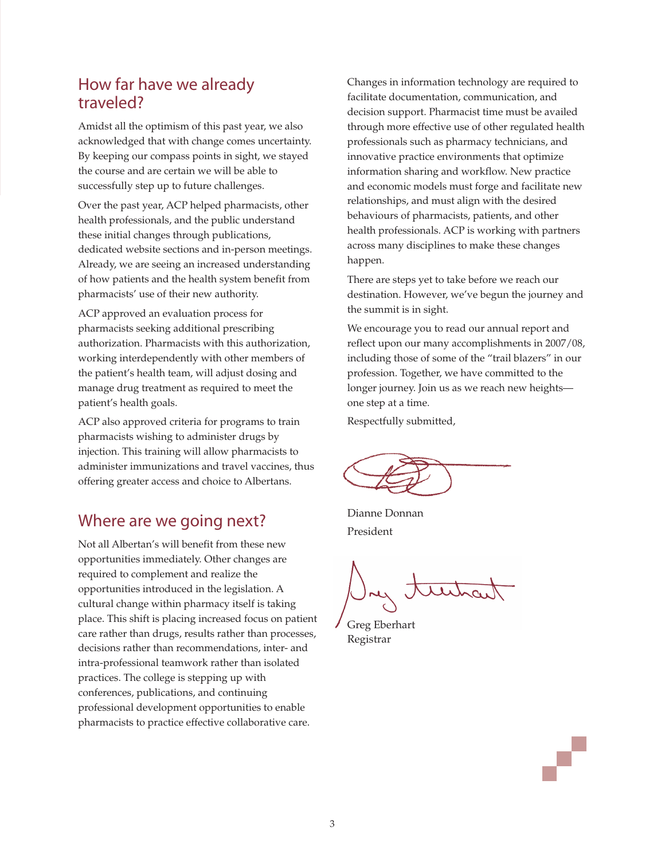# How far have we already traveled?

Amidst all the optimism of this past year, we also acknowledged that with change comes uncertainty. By keeping our compass points in sight, we stayed the course and are certain we will be able to successfully step up to future challenges.

Over the past year, ACP helped pharmacists, other health professionals, and the public understand these initial changes through publications, dedicated website sections and in-person meetings. Already, we are seeing an increased understanding of how patients and the health system benefit from pharmacists' use of their new authority.

ACP approved an evaluation process for pharmacists seeking additional prescribing authorization. Pharmacists with this authorization, working interdependently with other members of the patient's health team, will adjust dosing and manage drug treatment as required to meet the patient's health goals.

ACP also approved criteria for programs to train pharmacists wishing to administer drugs by injection. This training will allow pharmacists to administer immunizations and travel vaccines, thus offering greater access and choice to Albertans.

# Where are we going next?

Not all Albertan's will benefit from these new opportunities immediately. Other changes are required to complement and realize the opportunities introduced in the legislation. A cultural change within pharmacy itself is taking place. This shift is placing increased focus on patient care rather than drugs, results rather than processes, decisions rather than recommendations, inter- and intra-professional teamwork rather than isolated practices. The college is stepping up with conferences, publications, and continuing professional development opportunities to enable pharmacists to practice effective collaborative care.

Changes in information technology are required to facilitate documentation, communication, and decision support. Pharmacist time must be availed through more effective use of other regulated health professionals such as pharmacy technicians, and innovative practice environments that optimize information sharing and workflow. New practice and economic models must forge and facilitate new relationships, and must align with the desired behaviours of pharmacists, patients, and other health professionals. ACP is working with partners across many disciplines to make these changes happen.

There are steps yet to take before we reach our destination. However, we've begun the journey and the summit is in sight.

We encourage you to read our annual report and reflect upon our many accomplishments in 2007/08, including those of some of the "trail blazers" in our profession. Together, we have committed to the longer journey. Join us as we reach new heights one step at a time.

Respectfully submitted,

Dianne Donnan President

Greg Eberhart Registrar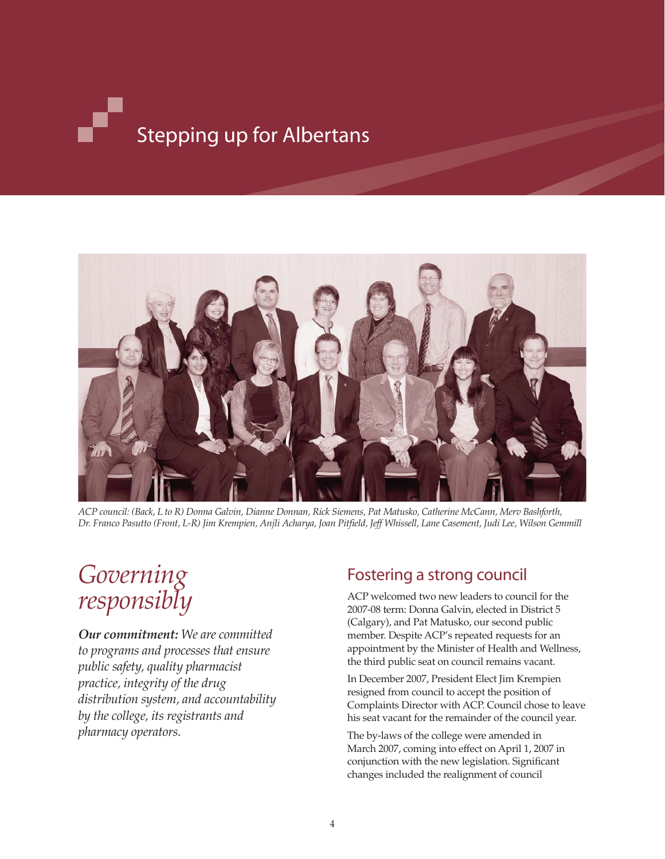# Stepping up for Albertans



*ACP council: (Back, L to R) Donna Galvin, Dianne Donnan, Rick Siemens, Pat Matusko, Catherine McCann, Merv Bashforth, Dr. Franco Pasutto (Front, L-R) Jim Krempien, Anjli Acharya, Joan Pitfield, Jeff Whissell, Lane Casement, Judi Lee, Wilson Gemmill*

# *Governing responsibly*

*Our commitment: We are committed to programs and processes that ensure public safety, quality pharmacist practice, integrity of the drug distribution system, and accountability by the college, its registrants and pharmacy operators.*

# Fostering a strong council

ACP welcomed two new leaders to council for the 2007-08 term: Donna Galvin, elected in District 5 (Calgary), and Pat Matusko, our second public member. Despite ACP's repeated requests for an appointment by the Minister of Health and Wellness, the third public seat on council remains vacant.

In December 2007, President Elect Jim Krempien resigned from council to accept the position of Complaints Director with ACP. Council chose to leave his seat vacant for the remainder of the council year.

The by-laws of the college were amended in March 2007, coming into effect on April 1, 2007 in conjunction with the new legislation. Significant changes included the realignment of council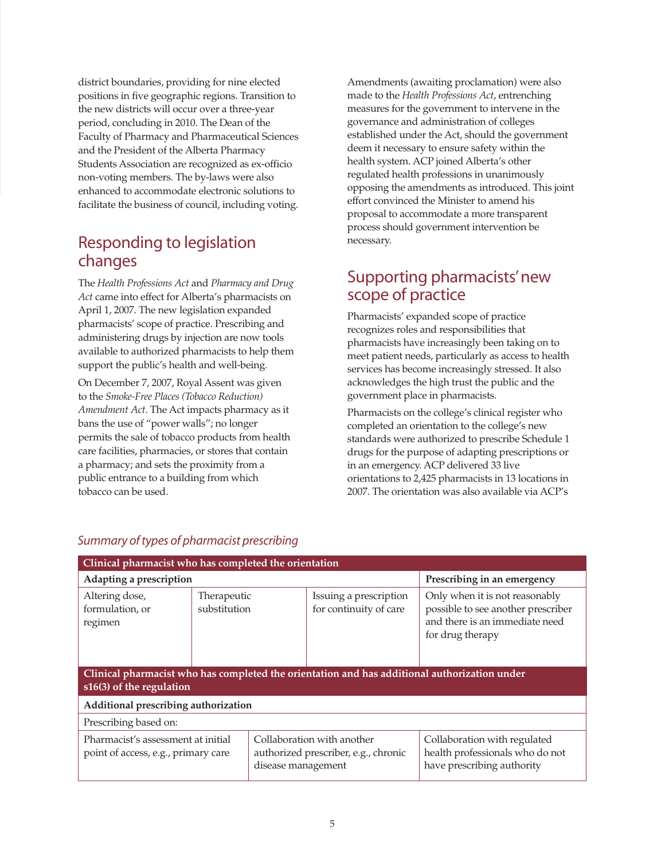district boundaries, providing for nine elected positions in five geographic regions. Transition to the new districts will occur over a three-year period, concluding in 2010. The Dean of the Faculty of Pharmacy and Pharmaceutical Sciences and the President of the Alberta Pharmacy Students Association are recognized as ex-officio non-voting members. The by-laws were also enhanced to accommodate electronic solutions to facilitate the business of council, including voting.

# Responding to legislation changes

The *Health Professions Act* and *Pharmacy and Drug Act* came into effect for Alberta's pharmacists on April 1, 2007. The new legislation expanded pharmacists' scope of practice. Prescribing and administering drugs by injection are now tools available to authorized pharmacists to help them support the public's health and well-being.

On December 7, 2007, Royal Assent was given to the *Smoke-Free Places (Tobacco Reduction) Amendment Act*. The Act impacts pharmacy as it bans the use of "power walls"; no longer permits the sale of tobacco products from health care facilities, pharmacies, or stores that contain a pharmacy; and sets the proximity from a public entrance to a building from which tobacco can be used.

Amendments (awaiting proclamation) were also made to the *Health Professions Act*, entrenching measures for the government to intervene in the governance and administration of colleges established under the Act, should the government deem it necessary to ensure safety within the health system. ACP joined Alberta's other regulated health professions in unanimously opposing the amendments as introduced. This joint effort convinced the Minister to amend his proposal to accommodate a more transparent process should government intervention be necessary.

# Supporting pharmacists' new scope of practice

Pharmacists' expanded scope of practice recognizes roles and responsibilities that pharmacists have increasingly been taking on to meet patient needs, particularly as access to health services has become increasingly stressed. It also acknowledges the high trust the public and the government place in pharmacists.

Pharmacists on the college's clinical register who completed an orientation to the college's new standards were authorized to prescribe Schedule 1 drugs for the purpose of adapting prescriptions or in an emergency. ACP delivered 33 live orientations to 2,425 pharmacists in 13 locations in 2007. The orientation was also available via ACP's

| Clinical pharmacist who has completed the orientation                                                                    |                             |                                                  |                                                  |                                                                                                                            |  |  |  |  |
|--------------------------------------------------------------------------------------------------------------------------|-----------------------------|--------------------------------------------------|--------------------------------------------------|----------------------------------------------------------------------------------------------------------------------------|--|--|--|--|
| Adapting a prescription                                                                                                  | Prescribing in an emergency |                                                  |                                                  |                                                                                                                            |  |  |  |  |
| Altering dose,<br>formulation, or<br>regimen                                                                             | Therapeutic<br>substitution |                                                  | Issuing a prescription<br>for continuity of care | Only when it is not reasonably<br>possible to see another prescriber<br>and there is an immediate need<br>for drug therapy |  |  |  |  |
| Clinical pharmacist who has completed the orientation and has additional authorization under<br>s16(3) of the regulation |                             |                                                  |                                                  |                                                                                                                            |  |  |  |  |
| Additional prescribing authorization                                                                                     |                             |                                                  |                                                  |                                                                                                                            |  |  |  |  |
| Prescribing based on:                                                                                                    |                             |                                                  |                                                  |                                                                                                                            |  |  |  |  |
| Pharmacist's assessment at initial<br>point of access, e.g., primary care                                                |                             | Collaboration with another<br>disease management | authorized prescriber, e.g., chronic             | Collaboration with regulated<br>health professionals who do not<br>have prescribing authority                              |  |  |  |  |

# *Summary of types of pharmacist prescribing*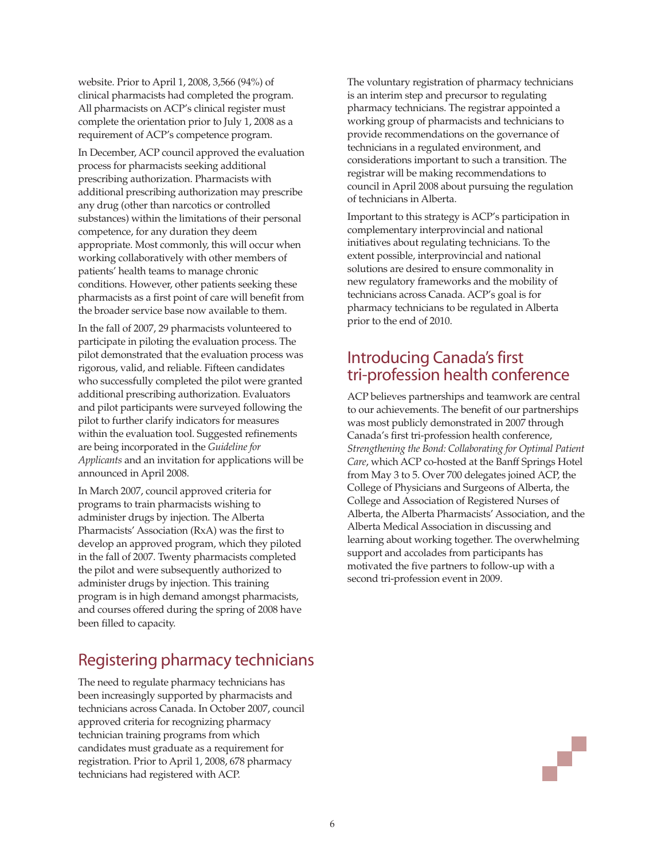website. Prior to April 1, 2008, 3,566 (94%) of clinical pharmacists had completed the program. All pharmacists on ACP's clinical register must complete the orientation prior to July 1, 2008 as a requirement of ACP's competence program.

In December, ACP council approved the evaluation process for pharmacists seeking additional prescribing authorization. Pharmacists with additional prescribing authorization may prescribe any drug (other than narcotics or controlled substances) within the limitations of their personal competence, for any duration they deem appropriate. Most commonly, this will occur when working collaboratively with other members of patients' health teams to manage chronic conditions. However, other patients seeking these pharmacists as a first point of care will benefit from the broader service base now available to them.

In the fall of 2007, 29 pharmacists volunteered to participate in piloting the evaluation process. The pilot demonstrated that the evaluation process was rigorous, valid, and reliable. Fifteen candidates who successfully completed the pilot were granted additional prescribing authorization. Evaluators and pilot participants were surveyed following the pilot to further clarify indicators for measures within the evaluation tool. Suggested refinements are being incorporated in the *Guideline for Applicants* and an invitation for applications will be announced in April 2008.

In March 2007, council approved criteria for programs to train pharmacists wishing to administer drugs by injection. The Alberta Pharmacists' Association (RxA) was the first to develop an approved program, which they piloted in the fall of 2007. Twenty pharmacists completed the pilot and were subsequently authorized to administer drugs by injection. This training program is in high demand amongst pharmacists, and courses offered during the spring of 2008 have been filled to capacity.

# Registering pharmacy technicians

The need to regulate pharmacy technicians has been increasingly supported by pharmacists and technicians across Canada. In October 2007, council approved criteria for recognizing pharmacy technician training programs from which candidates must graduate as a requirement for registration. Prior to April 1, 2008, 678 pharmacy technicians had registered with ACP.

The voluntary registration of pharmacy technicians is an interim step and precursor to regulating pharmacy technicians. The registrar appointed a working group of pharmacists and technicians to provide recommendations on the governance of technicians in a regulated environment, and considerations important to such a transition. The registrar will be making recommendations to council in April 2008 about pursuing the regulation of technicians in Alberta.

Important to this strategy is ACP's participation in complementary interprovincial and national initiatives about regulating technicians. To the extent possible, interprovincial and national solutions are desired to ensure commonality in new regulatory frameworks and the mobility of technicians across Canada. ACP's goal is for pharmacy technicians to be regulated in Alberta prior to the end of 2010.

# Introducing Canada's first tri-profession health conference

ACP believes partnerships and teamwork are central to our achievements. The benefit of our partnerships was most publicly demonstrated in 2007 through Canada's first tri-profession health conference, *Strengthening the Bond: Collaborating for Optimal Patient Care*, which ACP co-hosted at the Banff Springs Hotel from May 3 to 5. Over 700 delegates joined ACP, the College of Physicians and Surgeons of Alberta, the College and Association of Registered Nurses of Alberta, the Alberta Pharmacists' Association, and the Alberta Medical Association in discussing and learning about working together. The overwhelming support and accolades from participants has motivated the five partners to follow-up with a second tri-profession event in 2009.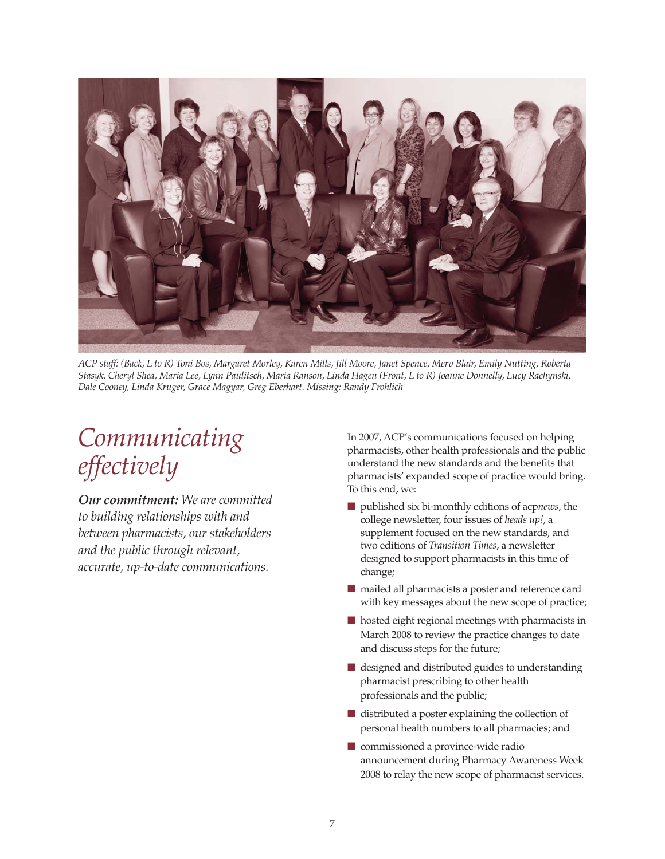

*ACP staff: (Back, L to R) Toni Bos, Margaret Morley, Karen Mills, Jill Moore, Janet Spence, Merv Blair, Emily Nutting, Roberta Stasyk, Cheryl Shea, Maria Lee, Lynn Paulitsch, Maria Ranson, Linda Hagen (Front, L to R) Joanne Donnelly, Lucy Rachynski, Dale Cooney, Linda Kruger, Grace Magyar, Greg Eberhart. Missing: Randy Frohlich*

# *Communicating effectively*

*Our commitment: We are committed to building relationships with and between pharmacists, our stakeholders and the public through relevant, accurate, up-to-date communications.*

In 2007, ACP's communications focused on helping pharmacists, other health professionals and the public understand the new standards and the benefits that pharmacists' expanded scope of practice would bring. To this end, we:

- published six bi-monthly editions of acpnews, the college newsletter, four issues of *heads up!*, a supplement focused on the new standards, and two editions of *Transition Times*, a newsletter designed to support pharmacists in this time of change;
- mailed all pharmacists a poster and reference card with key messages about the new scope of practice;
- hosted eight regional meetings with pharmacists in March 2008 to review the practice changes to date and discuss steps for the future;
- designed and distributed guides to understanding pharmacist prescribing to other health professionals and the public;
- distributed a poster explaining the collection of personal health numbers to all pharmacies; and
- commissioned a province-wide radio announcement during Pharmacy Awareness Week 2008 to relay the new scope of pharmacist services.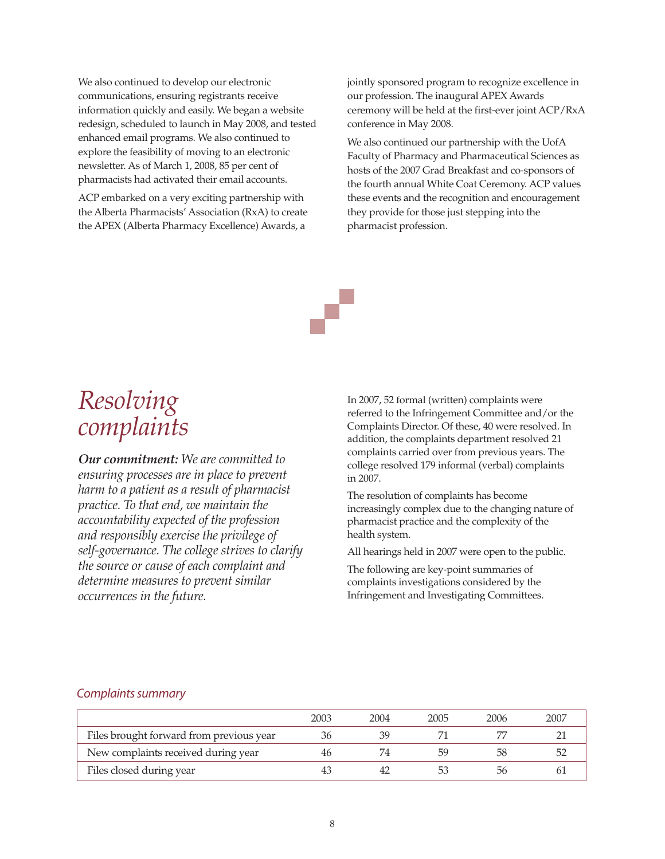We also continued to develop our electronic communications, ensuring registrants receive information quickly and easily. We began a website redesign, scheduled to launch in May 2008, and tested enhanced email programs. We also continued to explore the feasibility of moving to an electronic newsletter. As of March 1, 2008, 85 per cent of pharmacists had activated their email accounts.

ACP embarked on a very exciting partnership with the Alberta Pharmacists' Association (RxA) to create the APEX (Alberta Pharmacy Excellence) Awards, a

jointly sponsored program to recognize excellence in our profession. The inaugural APEX Awards ceremony will be held at the first-ever joint ACP/RxA conference in May 2008.

We also continued our partnership with the UofA Faculty of Pharmacy and Pharmaceutical Sciences as hosts of the 2007 Grad Breakfast and co-sponsors of the fourth annual White Coat Ceremony. ACP values these events and the recognition and encouragement they provide for those just stepping into the pharmacist profession.

# *Resolving complaints*

*Our commitment: We are committed to ensuring processes are in place to prevent harm to a patient as a result of pharmacist practice. To that end, we maintain the accountability expected of the profession and responsibly exercise the privilege of self-governance. The college strives to clarify the source or cause of each complaint and determine measures to prevent similar occurrences in the future.* 

In 2007, 52 formal (written) complaints were referred to the Infringement Committee and/or the Complaints Director. Of these, 40 were resolved. In addition, the complaints department resolved 21 complaints carried over from previous years. The college resolved 179 informal (verbal) complaints in 2007.

The resolution of complaints has become increasingly complex due to the changing nature of pharmacist practice and the complexity of the health system.

All hearings held in 2007 were open to the public.

The following are key-point summaries of complaints investigations considered by the Infringement and Investigating Committees.

### *Complaints summary*

|                                          | 2003 | 2004 | 2005 | 2006 | 2007 |
|------------------------------------------|------|------|------|------|------|
| Files brought forward from previous year | 36   |      |      |      |      |
| New complaints received during year      | 46   |      | 59   | 58   |      |
| Files closed during year                 | 43   |      |      | 56   |      |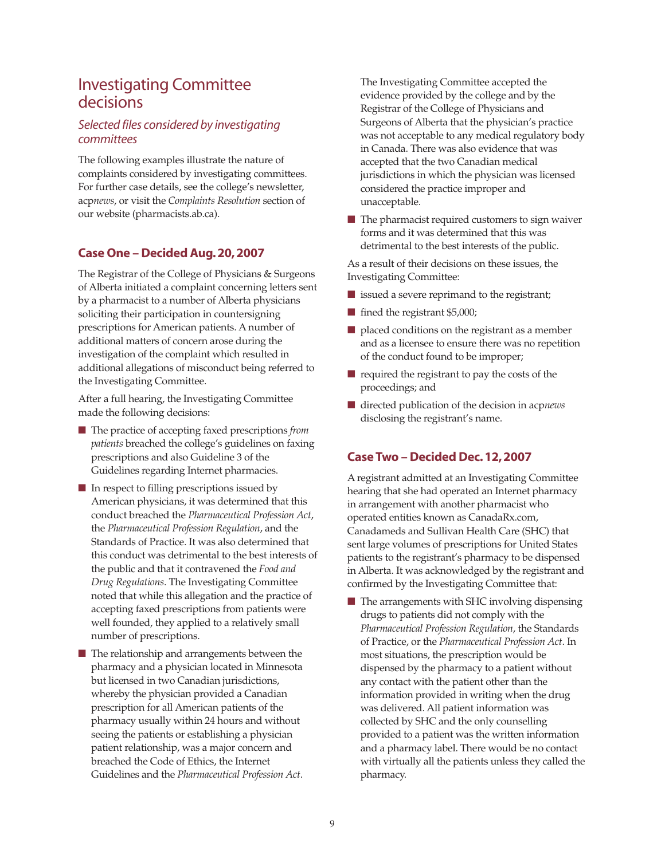# Investigating Committee decisions

# *Selected files considered by investigating committees*

The following examples illustrate the nature of complaints considered by investigating committees. For further case details, see the college's newsletter, acp*news*, or visit the *Complaints Resolution* section of our website (pharmacists.ab.ca).

# **Case One – Decided Aug. 20, 2007**

The Registrar of the College of Physicians & Surgeons of Alberta initiated a complaint concerning letters sent by a pharmacist to a number of Alberta physicians soliciting their participation in countersigning prescriptions for American patients. A number of additional matters of concern arose during the investigation of the complaint which resulted in additional allegations of misconduct being referred to the Investigating Committee.

After a full hearing, the Investigating Committee made the following decisions:

- The practice of accepting faxed prescriptions *from patients* breached the college's guidelines on faxing prescriptions and also Guideline 3 of the Guidelines regarding Internet pharmacies.
- In respect to filling prescriptions issued by American physicians, it was determined that this conduct breached the *Pharmaceutical Profession Act*, the *Pharmaceutical Profession Regulation*, and the Standards of Practice. It was also determined that this conduct was detrimental to the best interests of the public and that it contravened the *Food and Drug Regulations*. The Investigating Committee noted that while this allegation and the practice of accepting faxed prescriptions from patients were well founded, they applied to a relatively small number of prescriptions.
- The relationship and arrangements between the pharmacy and a physician located in Minnesota but licensed in two Canadian jurisdictions, whereby the physician provided a Canadian prescription for all American patients of the pharmacy usually within 24 hours and without seeing the patients or establishing a physician patient relationship, was a major concern and breached the Code of Ethics, the Internet Guidelines and the *Pharmaceutical Profession Act*.

The Investigating Committee accepted the evidence provided by the college and by the Registrar of the College of Physicians and Surgeons of Alberta that the physician's practice was not acceptable to any medical regulatory body in Canada. There was also evidence that was accepted that the two Canadian medical jurisdictions in which the physician was licensed considered the practice improper and unacceptable.

■ The pharmacist required customers to sign waiver forms and it was determined that this was detrimental to the best interests of the public.

As a result of their decisions on these issues, the Investigating Committee:

- issued a severe reprimand to the registrant;
- fined the registrant \$5,000;
- placed conditions on the registrant as a member and as a licensee to ensure there was no repetition of the conduct found to be improper;
- required the registrant to pay the costs of the proceedings; and
- directed publication of the decision in acpnews disclosing the registrant's name.

# **Case Two – Decided Dec. 12, 2007**

A registrant admitted at an Investigating Committee hearing that she had operated an Internet pharmacy in arrangement with another pharmacist who operated entities known as CanadaRx.com, Canadameds and Sullivan Health Care (SHC) that sent large volumes of prescriptions for United States patients to the registrant's pharmacy to be dispensed in Alberta. It was acknowledged by the registrant and confirmed by the Investigating Committee that:

■ The arrangements with SHC involving dispensing drugs to patients did not comply with the *Pharmaceutical Profession Regulation*, the Standards of Practice, or the *Pharmaceutical Profession Act*. In most situations, the prescription would be dispensed by the pharmacy to a patient without any contact with the patient other than the information provided in writing when the drug was delivered. All patient information was collected by SHC and the only counselling provided to a patient was the written information and a pharmacy label. There would be no contact with virtually all the patients unless they called the pharmacy.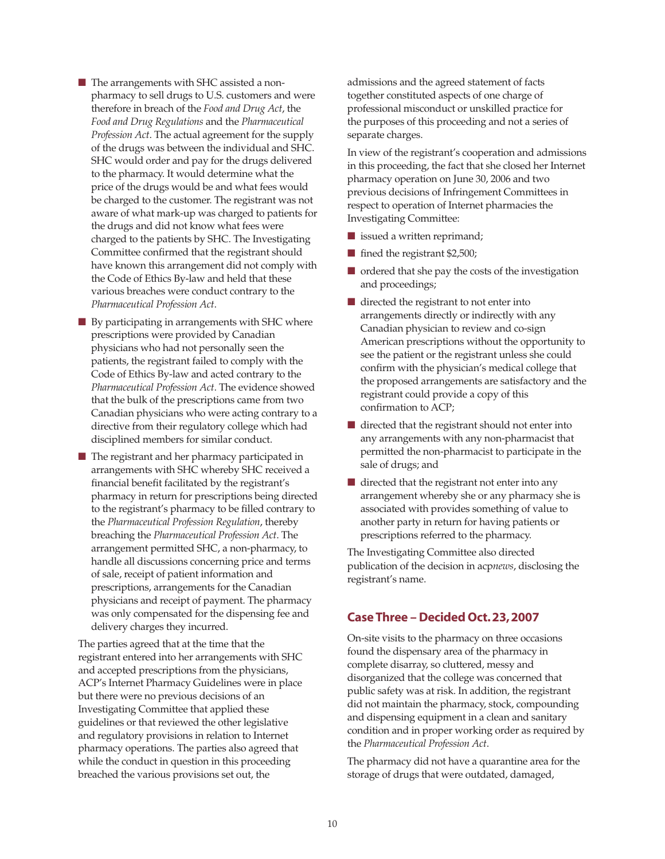■ The arrangements with SHC assisted a nonpharmacy to sell drugs to U.S. customers and were therefore in breach of the *Food and Drug Act*, the *Food and Drug Regulations* and the *Pharmaceutical Profession Act*. The actual agreement for the supply of the drugs was between the individual and SHC. SHC would order and pay for the drugs delivered to the pharmacy. It would determine what the price of the drugs would be and what fees would be charged to the customer. The registrant was not aware of what mark-up was charged to patients for the drugs and did not know what fees were charged to the patients by SHC. The Investigating Committee confirmed that the registrant should have known this arrangement did not comply with the Code of Ethics By-law and held that these various breaches were conduct contrary to the *Pharmaceutical Profession Act*.

- By participating in arrangements with SHC where prescriptions were provided by Canadian physicians who had not personally seen the patients, the registrant failed to comply with the Code of Ethics By-law and acted contrary to the *Pharmaceutical Profession Act*. The evidence showed that the bulk of the prescriptions came from two Canadian physicians who were acting contrary to a directive from their regulatory college which had disciplined members for similar conduct.
- The registrant and her pharmacy participated in arrangements with SHC whereby SHC received a financial benefit facilitated by the registrant's pharmacy in return for prescriptions being directed to the registrant's pharmacy to be filled contrary to the *Pharmaceutical Profession Regulation*, thereby breaching the *Pharmaceutical Profession Act*. The arrangement permitted SHC, a non-pharmacy, to handle all discussions concerning price and terms of sale, receipt of patient information and prescriptions, arrangements for the Canadian physicians and receipt of payment. The pharmacy was only compensated for the dispensing fee and delivery charges they incurred.

The parties agreed that at the time that the registrant entered into her arrangements with SHC and accepted prescriptions from the physicians, ACP's Internet Pharmacy Guidelines were in place but there were no previous decisions of an Investigating Committee that applied these guidelines or that reviewed the other legislative and regulatory provisions in relation to Internet pharmacy operations. The parties also agreed that while the conduct in question in this proceeding breached the various provisions set out, the

admissions and the agreed statement of facts together constituted aspects of one charge of professional misconduct or unskilled practice for the purposes of this proceeding and not a series of separate charges.

In view of the registrant's cooperation and admissions in this proceeding, the fact that she closed her Internet pharmacy operation on June 30, 2006 and two previous decisions of Infringement Committees in respect to operation of Internet pharmacies the Investigating Committee:

- issued a written reprimand;
- fined the registrant \$2,500;
- ordered that she pay the costs of the investigation and proceedings;
- directed the registrant to not enter into arrangements directly or indirectly with any Canadian physician to review and co-sign American prescriptions without the opportunity to see the patient or the registrant unless she could confirm with the physician's medical college that the proposed arrangements are satisfactory and the registrant could provide a copy of this confirmation to ACP;
- directed that the registrant should not enter into any arrangements with any non-pharmacist that permitted the non-pharmacist to participate in the sale of drugs; and
- directed that the registrant not enter into any arrangement whereby she or any pharmacy she is associated with provides something of value to another party in return for having patients or prescriptions referred to the pharmacy.

The Investigating Committee also directed publication of the decision in acp*news*, disclosing the registrant's name.

## **Case Three – Decided Oct. 23, 2007**

On-site visits to the pharmacy on three occasions found the dispensary area of the pharmacy in complete disarray, so cluttered, messy and disorganized that the college was concerned that public safety was at risk. In addition, the registrant did not maintain the pharmacy, stock, compounding and dispensing equipment in a clean and sanitary condition and in proper working order as required by the *Pharmaceutical Profession Act*.

The pharmacy did not have a quarantine area for the storage of drugs that were outdated, damaged,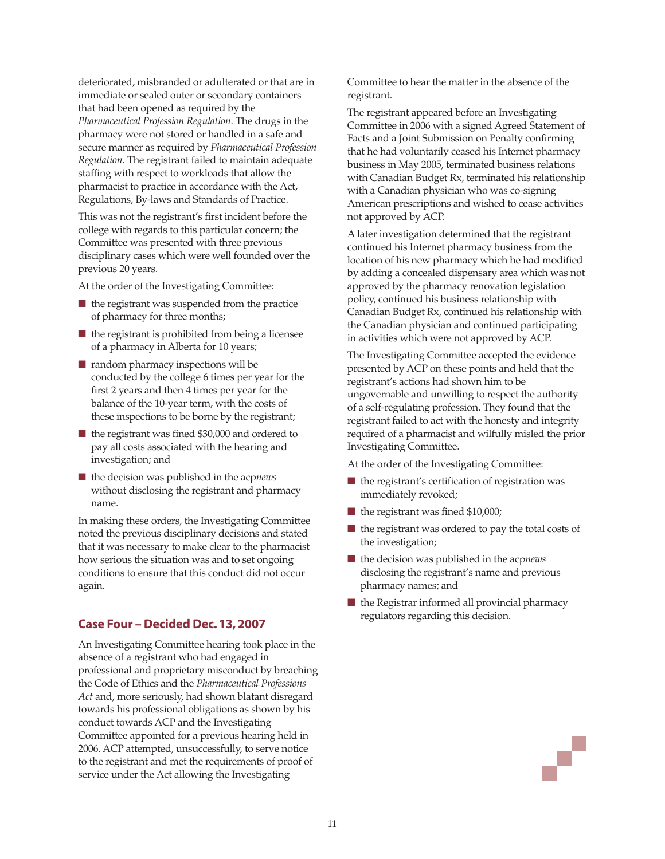deteriorated, misbranded or adulterated or that are in immediate or sealed outer or secondary containers that had been opened as required by the *Pharmaceutical Profession Regulation*. The drugs in the pharmacy were not stored or handled in a safe and secure manner as required by *Pharmaceutical Profession Regulation*. The registrant failed to maintain adequate staffing with respect to workloads that allow the pharmacist to practice in accordance with the Act, Regulations, By-laws and Standards of Practice.

This was not the registrant's first incident before the college with regards to this particular concern; the Committee was presented with three previous disciplinary cases which were well founded over the previous 20 years.

At the order of the Investigating Committee:

- the registrant was suspended from the practice of pharmacy for three months;
- $\blacksquare$  the registrant is prohibited from being a licensee of a pharmacy in Alberta for 10 years;
- random pharmacy inspections will be conducted by the college 6 times per year for the first 2 years and then 4 times per year for the balance of the 10-year term, with the costs of these inspections to be borne by the registrant;
- the registrant was fined \$30,000 and ordered to pay all costs associated with the hearing and investigation; and
- the decision was published in the acpnews without disclosing the registrant and pharmacy name.

In making these orders, the Investigating Committee noted the previous disciplinary decisions and stated that it was necessary to make clear to the pharmacist how serious the situation was and to set ongoing conditions to ensure that this conduct did not occur again.

# **Case Four – Decided Dec. 13, 2007**

An Investigating Committee hearing took place in the absence of a registrant who had engaged in professional and proprietary misconduct by breaching the Code of Ethics and the *Pharmaceutical Professions Act* and, more seriously, had shown blatant disregard towards his professional obligations as shown by his conduct towards ACP and the Investigating Committee appointed for a previous hearing held in 2006. ACP attempted, unsuccessfully, to serve notice to the registrant and met the requirements of proof of service under the Act allowing the Investigating

Committee to hear the matter in the absence of the registrant.

The registrant appeared before an Investigating Committee in 2006 with a signed Agreed Statement of Facts and a Joint Submission on Penalty confirming that he had voluntarily ceased his Internet pharmacy business in May 2005, terminated business relations with Canadian Budget Rx, terminated his relationship with a Canadian physician who was co-signing American prescriptions and wished to cease activities not approved by ACP.

A later investigation determined that the registrant continued his Internet pharmacy business from the location of his new pharmacy which he had modified by adding a concealed dispensary area which was not approved by the pharmacy renovation legislation policy, continued his business relationship with Canadian Budget Rx, continued his relationship with the Canadian physician and continued participating in activities which were not approved by ACP.

The Investigating Committee accepted the evidence presented by ACP on these points and held that the registrant's actions had shown him to be ungovernable and unwilling to respect the authority of a self-regulating profession. They found that the registrant failed to act with the honesty and integrity required of a pharmacist and wilfully misled the prior Investigating Committee.

At the order of the Investigating Committee:

- the registrant's certification of registration was immediately revoked;
- the registrant was fined \$10,000;
- the registrant was ordered to pay the total costs of the investigation;
- the decision was published in the acpnews disclosing the registrant's name and previous pharmacy names; and
- the Registrar informed all provincial pharmacy regulators regarding this decision.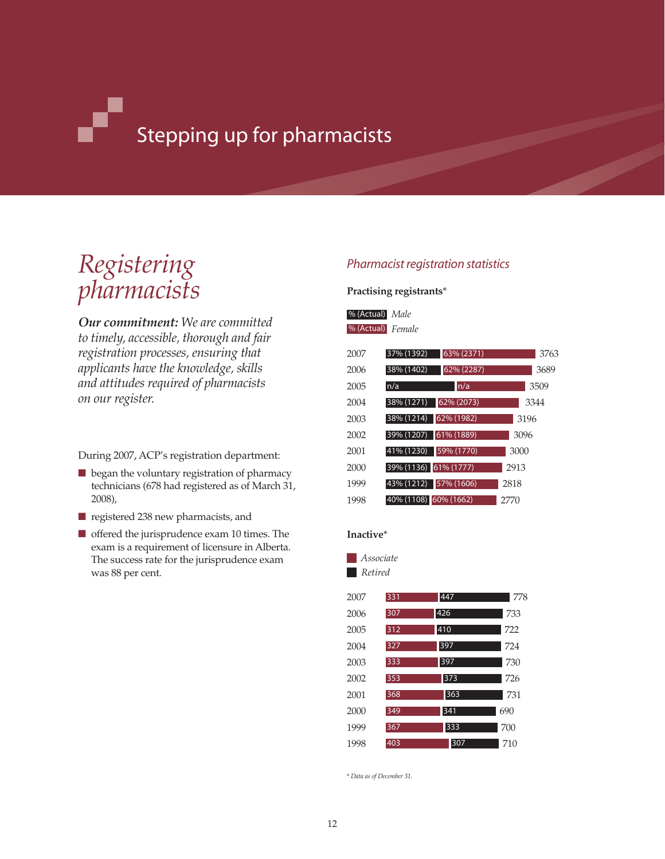# Stepping up for pharmacists

# *Registering pharmacists*

*Our commitment: We are committed to timely, accessible, thorough and fair registration processes, ensuring that applicants have the knowledge, skills and attitudes required of pharmacists on our register.*

During 2007, ACP's registration department:

- began the voluntary registration of pharmacy technicians (678 had registered as of March 31, 2008),
- registered 238 new pharmacists, and
- offered the jurisprudence exam 10 times. The exam is a requirement of licensure in Alberta. The success rate for the jurisprudence exam was 88 per cent.

# *Pharmacist registration statistics*

### **Practising registrants**\*

## *Male* % (Actual) *Female* % (Actual)

| 2007 | 37% (1392)<br>63% (2371)    | 3763 |
|------|-----------------------------|------|
| 2006 | 38% (1402)<br>62% (2287)    | 3689 |
| 2005 | n/a<br>n/a                  | 3509 |
| 2004 | 38% (1271)<br>62% (2073)    | 3344 |
| 2003 | 62% (1982)<br>$38\%$ (1214) | 3196 |
| 2002 | 39% (1207)<br>61% (1889)    | 3096 |
| 2001 | 41% (1230)<br>59% (1770)    | 3000 |
| 2000 | 39% (1136) 61% (1777)       | 2913 |
| 1999 | 43% (1212)<br>57% (1606)    | 2818 |
| 1998 | 40% (1108) 60% (1662)       | 2770 |

### **Inactive**\*

*Associate Retired*

| 2007 | 331 | 447 | 778 |
|------|-----|-----|-----|
| 2006 | 307 | 426 | 733 |
| 2005 | 312 | 410 | 722 |
| 2004 | 327 | 397 | 724 |
| 2003 | 333 | 397 | 730 |
| 2002 | 353 | 373 | 726 |
| 2001 | 368 | 363 | 731 |
| 2000 | 349 | 341 | 690 |
| 1999 | 367 | 333 | 700 |
| 1998 | 403 | 307 | 710 |

\* *Data as of December 31.*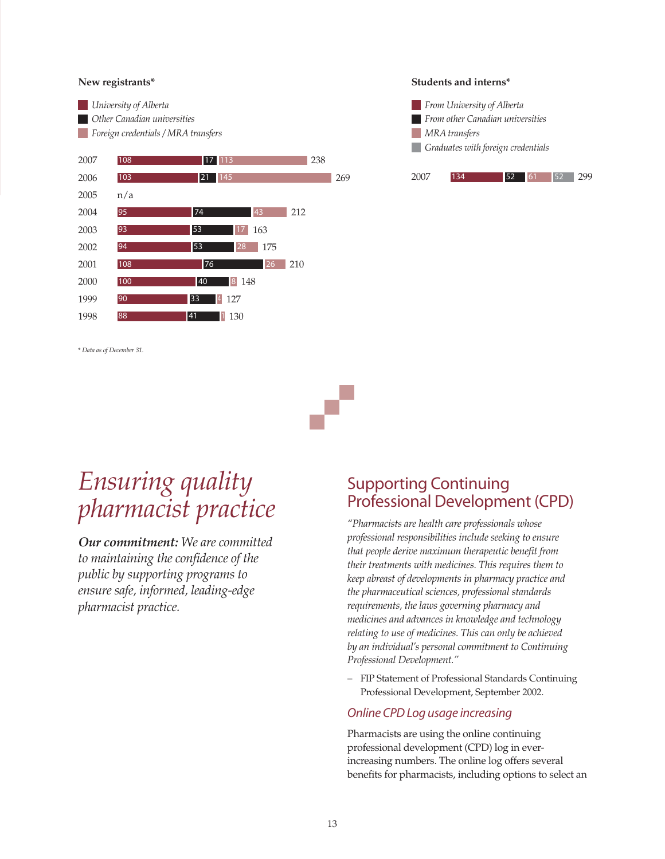### **New registrants\***



\* *Data as of December 31.*

#### **Students and interns\***





# *Ensuring quality pharmacist practice*

*Our commitment: We are committed to maintaining the confidence of the public by supporting programs to ensure safe, informed, leading-edge pharmacist practice.*

# Supporting Continuing Professional Development (CPD)

*"Pharmacists are health care professionals whose professional responsibilities include seeking to ensure that people derive maximum therapeutic benefit from their treatments with medicines. This requires them to keep abreast of developments in pharmacy practice and the pharmaceutical sciences, professional standards requirements, the laws governing pharmacy and medicines and advances in knowledge and technology relating to use of medicines. This can only be achieved by an individual's personal commitment to Continuing Professional Development."* 

– FIP Statement of Professional Standards Continuing Professional Development, September 2002.

### *Online CPD Log usage increasing*

Pharmacists are using the online continuing professional development (CPD) log in everincreasing numbers. The online log offers several benefits for pharmacists, including options to select an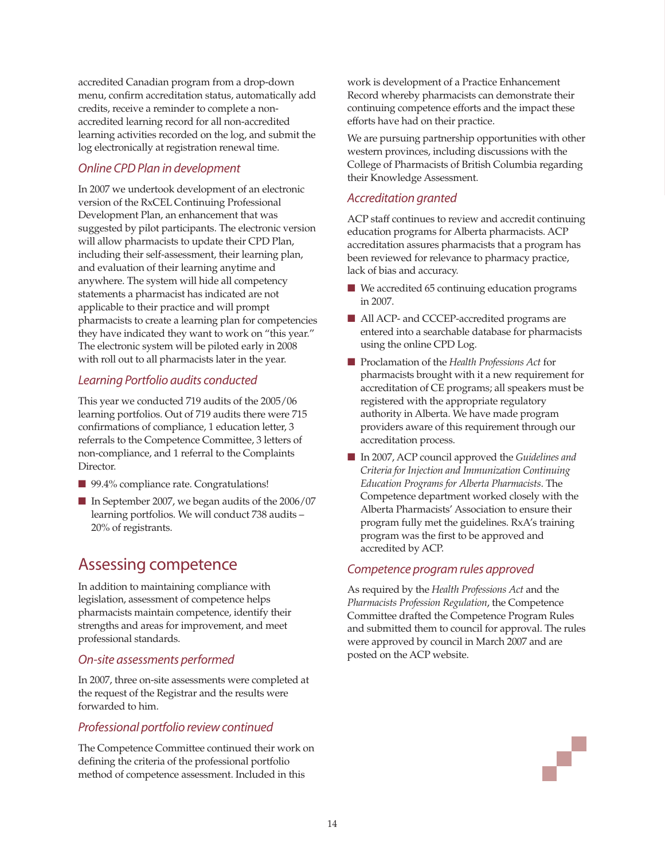accredited Canadian program from a drop-down menu, confirm accreditation status, automatically add credits, receive a reminder to complete a nonaccredited learning record for all non-accredited learning activities recorded on the log, and submit the log electronically at registration renewal time.

# *Online CPD Plan in development*

In 2007 we undertook development of an electronic version of the RxCEL Continuing Professional Development Plan, an enhancement that was suggested by pilot participants. The electronic version will allow pharmacists to update their CPD Plan, including their self-assessment, their learning plan, and evaluation of their learning anytime and anywhere. The system will hide all competency statements a pharmacist has indicated are not applicable to their practice and will prompt pharmacists to create a learning plan for competencies they have indicated they want to work on "this year." The electronic system will be piloted early in 2008 with roll out to all pharmacists later in the year.

# *Learning Portfolio audits conducted*

This year we conducted 719 audits of the 2005/06 learning portfolios. Out of 719 audits there were 715 confirmations of compliance, 1 education letter, 3 referrals to the Competence Committee, 3 letters of non-compliance, and 1 referral to the Complaints Director.

- 99.4% compliance rate. Congratulations!
- In September 2007, we began audits of the 2006/07 learning portfolios. We will conduct 738 audits – 20% of registrants.

# Assessing competence

In addition to maintaining compliance with legislation, assessment of competence helps pharmacists maintain competence, identify their strengths and areas for improvement, and meet professional standards.

## *On-site assessments performed*

In 2007, three on-site assessments were completed at the request of the Registrar and the results were forwarded to him.

# *Professional portfolio review continued*

The Competence Committee continued their work on defining the criteria of the professional portfolio method of competence assessment. Included in this

work is development of a Practice Enhancement Record whereby pharmacists can demonstrate their continuing competence efforts and the impact these efforts have had on their practice.

We are pursuing partnership opportunities with other western provinces, including discussions with the College of Pharmacists of British Columbia regarding their Knowledge Assessment.

# *Accreditation granted*

ACP staff continues to review and accredit continuing education programs for Alberta pharmacists. ACP accreditation assures pharmacists that a program has been reviewed for relevance to pharmacy practice, lack of bias and accuracy.

- We accredited 65 continuing education programs in 2007.
- All ACP- and CCCEP-accredited programs are entered into a searchable database for pharmacists using the online CPD Log.
- Proclamation of the *Health Professions Act* for pharmacists brought with it a new requirement for accreditation of CE programs; all speakers must be registered with the appropriate regulatory authority in Alberta. We have made program providers aware of this requirement through our accreditation process.
- In 2007, ACP council approved the *Guidelines and Criteria for Injection and Immunization Continuing Education Programs for Alberta Pharmacists*. The Competence department worked closely with the Alberta Pharmacists' Association to ensure their program fully met the guidelines. RxA's training program was the first to be approved and accredited by ACP.

## *Competence program rules approved*

As required by the *Health Professions Act* and the *Pharmacists Profession Regulation*, the Competence Committee drafted the Competence Program Rules and submitted them to council for approval. The rules were approved by council in March 2007 and are posted on the ACP website.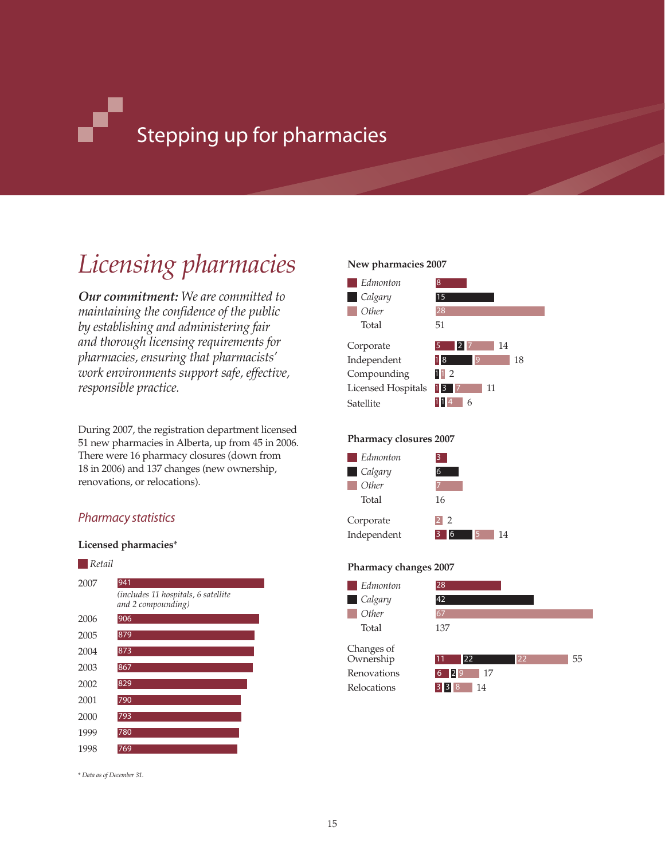# Stepping up for pharmacies

# *Licensing pharmacies*

*Our commitment: We are committed to maintaining the confidence of the public by establishing and administering fair and thorough licensing requirements for pharmacies, ensuring that pharmacists' work environments support safe, effective, responsible practice.* 

During 2007, the registration department licensed 51 new pharmacies in Alberta, up from 45 in 2006. There were 16 pharmacy closures (down from 18 in 2006) and 137 changes (new ownership, renovations, or relocations).

# *Pharmacy statistics*

### **Licensed pharmacies**\*



\* *Data as of December 31.*

### **New pharmacies 2007**



### **Pharmacy closures 2007**



### **Pharmacy changes 2007**

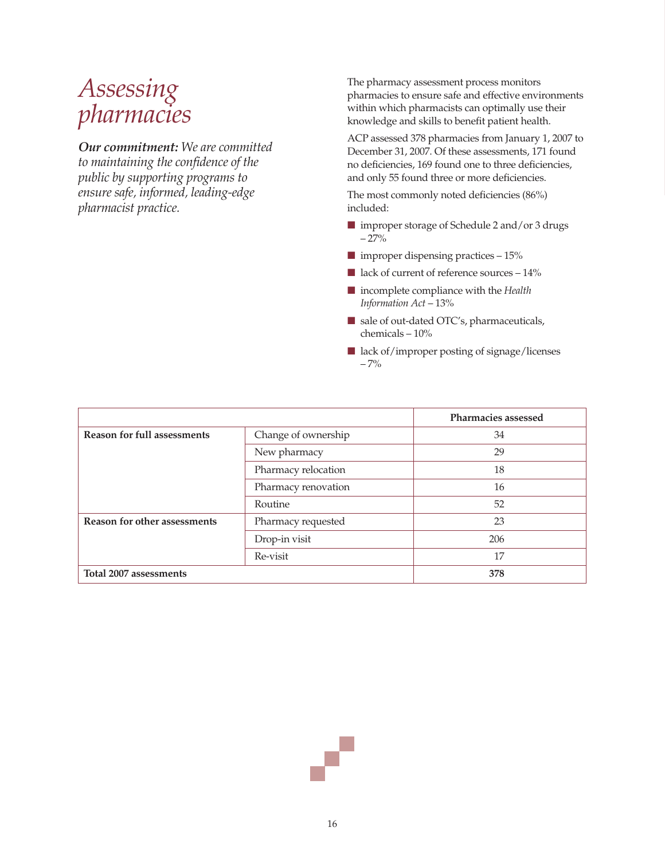# *Assessing pharmacies*

*Our commitment: We are committed to maintaining the confidence of the public by supporting programs to ensure safe, informed, leading-edge pharmacist practice.*

The pharmacy assessment process monitors pharmacies to ensure safe and effective environments within which pharmacists can optimally use their knowledge and skills to benefit patient health.

ACP assessed 378 pharmacies from January 1, 2007 to December 31, 2007. Of these assessments, 171 found no deficiencies, 169 found one to three deficiencies, and only 55 found three or more deficiencies.

The most commonly noted deficiencies (86%) included:

- improper storage of Schedule 2 and/or 3 drugs  $-27%$
- improper dispensing practices 15%
- lack of current of reference sources 14%
- incomplete compliance with the *Health Information Act* – 13%
- sale of out-dated OTC's, pharmaceuticals, chemicals – 10%
- lack of/improper posting of signage/licenses – 7%

|                                     |                     | Pharmacies assessed |
|-------------------------------------|---------------------|---------------------|
| <b>Reason for full assessments</b>  | Change of ownership | 34                  |
|                                     | New pharmacy        | 29                  |
|                                     | Pharmacy relocation | 18                  |
|                                     | Pharmacy renovation | 16                  |
|                                     | Routine             | 52                  |
| <b>Reason for other assessments</b> | Pharmacy requested  | 23                  |
|                                     | Drop-in visit       | 206                 |
|                                     | Re-visit            | 17                  |
| Total 2007 assessments              | 378                 |                     |

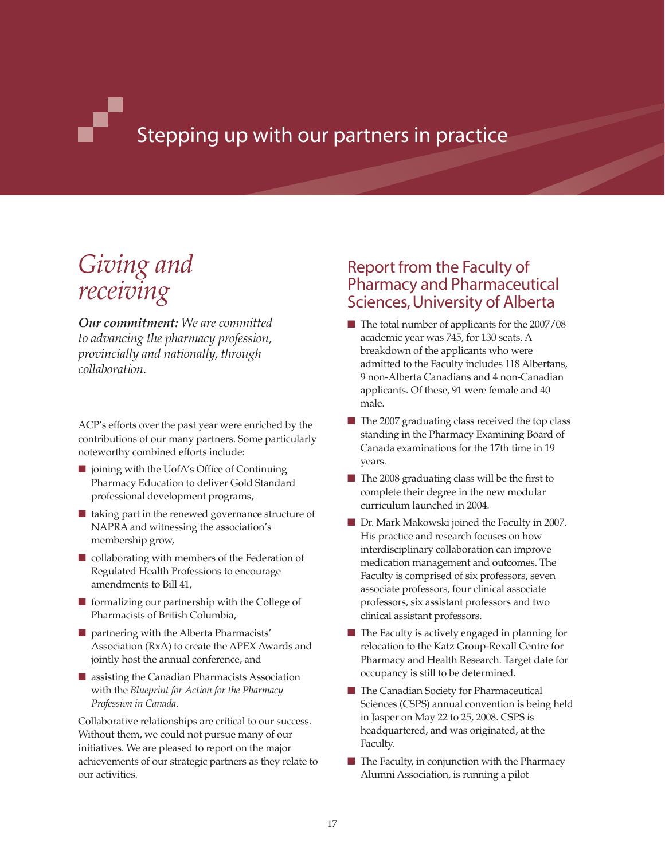# Stepping up with our partners in practice

# *Giving and receiving*

*Our commitment: We are committed to advancing the pharmacy profession, provincially and nationally, through collaboration.*

ACP's efforts over the past year were enriched by the contributions of our many partners. Some particularly noteworthy combined efforts include:

- joining with the UofA's Office of Continuing Pharmacy Education to deliver Gold Standard professional development programs,
- taking part in the renewed governance structure of NAPRA and witnessing the association's membership grow,
- collaborating with members of the Federation of Regulated Health Professions to encourage amendments to Bill 41,
- formalizing our partnership with the College of Pharmacists of British Columbia,
- partnering with the Alberta Pharmacists' Association (RxA) to create the APEX Awards and jointly host the annual conference, and
- assisting the Canadian Pharmacists Association with the *Blueprint for Action for the Pharmacy Profession in Canada*.

Collaborative relationships are critical to our success. Without them, we could not pursue many of our initiatives. We are pleased to report on the major achievements of our strategic partners as they relate to our activities.

# Report from the Faculty of Pharmacy and Pharmaceutical Sciences, University of Alberta

- The total number of applicants for the 2007/08 academic year was 745, for 130 seats. A breakdown of the applicants who were admitted to the Faculty includes 118 Albertans, 9 non-Alberta Canadians and 4 non-Canadian applicants. Of these, 91 were female and 40 male.
- The 2007 graduating class received the top class standing in the Pharmacy Examining Board of Canada examinations for the 17th time in 19 years.
- The 2008 graduating class will be the first to complete their degree in the new modular curriculum launched in 2004.
- Dr. Mark Makowski joined the Faculty in 2007. His practice and research focuses on how interdisciplinary collaboration can improve medication management and outcomes. The Faculty is comprised of six professors, seven associate professors, four clinical associate professors, six assistant professors and two clinical assistant professors.
- The Faculty is actively engaged in planning for relocation to the Katz Group-Rexall Centre for Pharmacy and Health Research. Target date for occupancy is still to be determined.
- The Canadian Society for Pharmaceutical Sciences (CSPS) annual convention is being held in Jasper on May 22 to 25, 2008. CSPS is headquartered, and was originated, at the Faculty.
- The Faculty, in conjunction with the Pharmacy Alumni Association, is running a pilot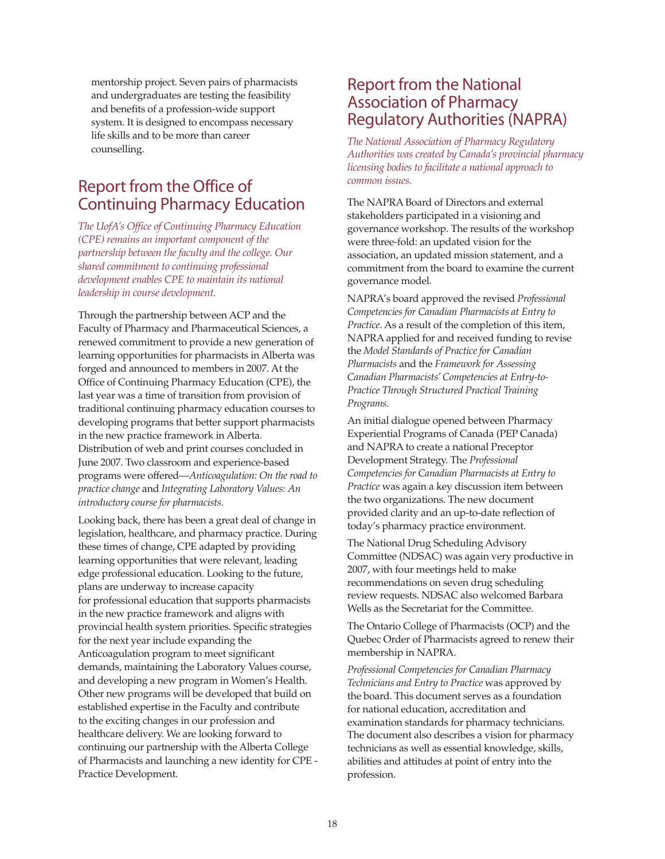mentorship project. Seven pairs of pharmacists and undergraduates are testing the feasibility and benefits of a profession-wide support system. It is designed to encompass necessary life skills and to be more than career counselling.

# Report from the Office of Continuing Pharmacy Education

*The UofA's Office of Continuing Pharmacy Education (CPE) remains an important component of the partnership between the faculty and the college. Our shared commitment to continuing professional development enables CPE to maintain its national leadership in course development.* 

Through the partnership between ACP and the Faculty of Pharmacy and Pharmaceutical Sciences, a renewed commitment to provide a new generation of learning opportunities for pharmacists in Alberta was forged and announced to members in 2007. At the Office of Continuing Pharmacy Education (CPE), the last year was a time of transition from provision of traditional continuing pharmacy education courses to developing programs that better support pharmacists in the new practice framework in Alberta. Distribution of web and print courses concluded in June 2007. Two classroom and experience-based programs were offered—*Anticoagulation: On the road to practice change* and *Integrating Laboratory Values: An introductory course for pharmacists*.

Looking back, there has been a great deal of change in legislation, healthcare, and pharmacy practice. During these times of change, CPE adapted by providing learning opportunities that were relevant, leading edge professional education. Looking to the future, plans are underway to increase capacity for professional education that supports pharmacists in the new practice framework and aligns with provincial health system priorities. Specific strategies for the next year include expanding the Anticoagulation program to meet significant demands, maintaining the Laboratory Values course, and developing a new program in Women's Health. Other new programs will be developed that build on established expertise in the Faculty and contribute to the exciting changes in our profession and healthcare delivery. We are looking forward to continuing our partnership with the Alberta College of Pharmacists and launching a new identity for CPE - Practice Development.

# Report from the National Association of Pharmacy Regulatory Authorities (NAPRA)

*The National Association of Pharmacy Regulatory Authorities was created by Canada's provincial pharmacy licensing bodies to facilitate a national approach to common issues.* 

The NAPRA Board of Directors and external stakeholders participated in a visioning and governance workshop. The results of the workshop were three-fold: an updated vision for the association, an updated mission statement, and a commitment from the board to examine the current governance model.

NAPRA's board approved the revised *Professional Competencies for Canadian Pharmacists at Entry to Practice*. As a result of the completion of this item, NAPRA applied for and received funding to revise the *Model Standards of Practice for Canadian Pharmacists* and the *Framework for Assessing Canadian Pharmacists' Competencies at Entry-to-Practice Through Structured Practical Training Programs*.

An initial dialogue opened between Pharmacy Experiential Programs of Canada (PEP Canada) and NAPRA to create a national Preceptor Development Strategy. The *Professional Competencies for Canadian Pharmacists at Entry to Practice* was again a key discussion item between the two organizations. The new document provided clarity and an up-to-date reflection of today's pharmacy practice environment.

The National Drug Scheduling Advisory Committee (NDSAC) was again very productive in 2007, with four meetings held to make recommendations on seven drug scheduling review requests. NDSAC also welcomed Barbara Wells as the Secretariat for the Committee.

The Ontario College of Pharmacists (OCP) and the Quebec Order of Pharmacists agreed to renew their membership in NAPRA.

*Professional Competencies for Canadian Pharmacy Technicians and Entry to Practice* was approved by the board. This document serves as a foundation for national education, accreditation and examination standards for pharmacy technicians. The document also describes a vision for pharmacy technicians as well as essential knowledge, skills, abilities and attitudes at point of entry into the profession.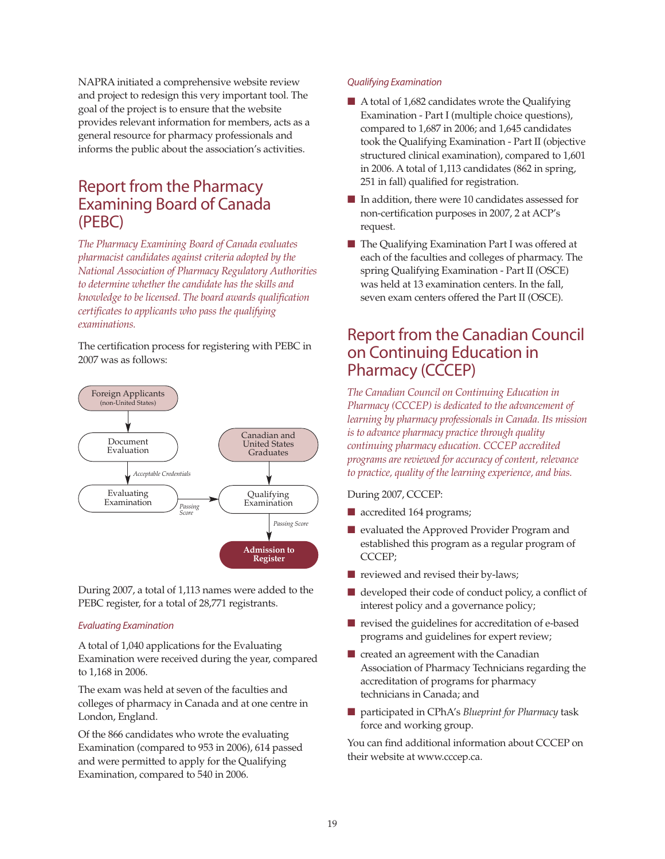NAPRA initiated a comprehensive website review and project to redesign this very important tool. The goal of the project is to ensure that the website provides relevant information for members, acts as a general resource for pharmacy professionals and informs the public about the association's activities.

# Report from the Pharmacy Examining Board of Canada (PEBC)

*The Pharmacy Examining Board of Canada evaluates pharmacist candidates against criteria adopted by the National Association of Pharmacy Regulatory Authorities to determine whether the candidate has the skills and knowledge to be licensed. The board awards qualification certificates to applicants who pass the qualifying examinations.* 

The certification process for registering with PEBC in 2007 was as follows:



During 2007, a total of 1,113 names were added to the PEBC register, for a total of 28,771 registrants.

### *Evaluating Examination*

A total of 1,040 applications for the Evaluating Examination were received during the year, compared to 1,168 in 2006.

The exam was held at seven of the faculties and colleges of pharmacy in Canada and at one centre in London, England.

Of the 866 candidates who wrote the evaluating Examination (compared to 953 in 2006), 614 passed and were permitted to apply for the Qualifying Examination, compared to 540 in 2006.

### *Qualifying Examination*

- A total of 1,682 candidates wrote the Qualifying Examination - Part I (multiple choice questions), compared to 1,687 in 2006; and 1,645 candidates took the Qualifying Examination - Part II (objective structured clinical examination), compared to 1,601 in 2006. A total of 1,113 candidates (862 in spring, 251 in fall) qualified for registration.
- In addition, there were 10 candidates assessed for non-certification purposes in 2007, 2 at ACP's request.
- The Qualifying Examination Part I was offered at each of the faculties and colleges of pharmacy. The spring Qualifying Examination - Part II (OSCE) was held at 13 examination centers. In the fall, seven exam centers offered the Part II (OSCE).

# Report from the Canadian Council on Continuing Education in Pharmacy (CCCEP)

*The Canadian Council on Continuing Education in Pharmacy (CCCEP) is dedicated to the advancement of learning by pharmacy professionals in Canada. Its mission is to advance pharmacy practice through quality continuing pharmacy education. CCCEP accredited programs are reviewed for accuracy of content, relevance to practice, quality of the learning experience, and bias.* 

### During 2007, CCCEP:

- accredited 164 programs;
- evaluated the Approved Provider Program and established this program as a regular program of CCCEP;
- reviewed and revised their by-laws;
- $\blacksquare$  developed their code of conduct policy, a conflict of interest policy and a governance policy;
- revised the guidelines for accreditation of e-based programs and guidelines for expert review;
- created an agreement with the Canadian Association of Pharmacy Technicians regarding the accreditation of programs for pharmacy technicians in Canada; and
- participated in CPhA's *Blueprint for Pharmacy* task force and working group.

You can find additional information about CCCEP on their website at www.cccep.ca.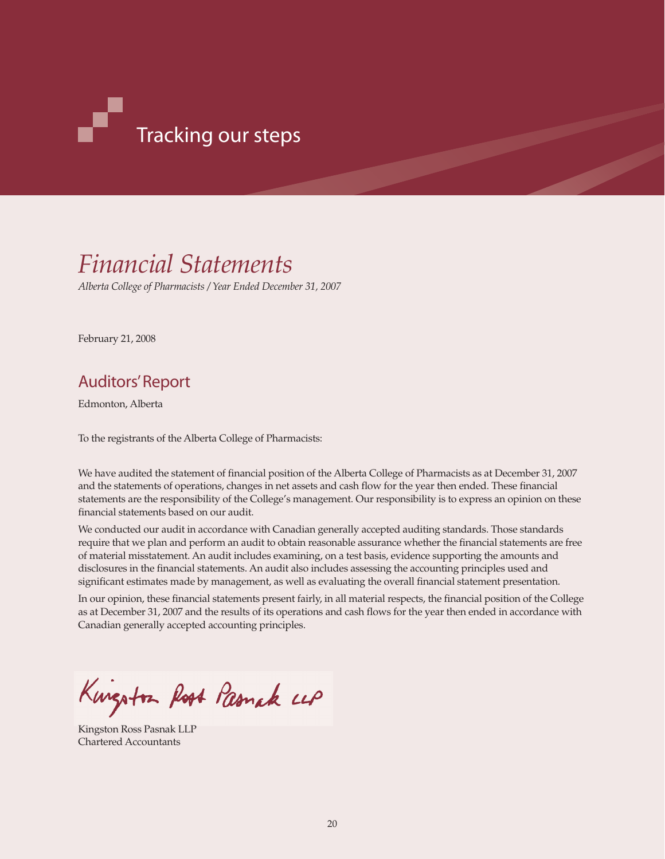

# *Financial Statements*

*Alberta College of Pharmacists / Year Ended December 31, 2007*

February 21, 2008

# Auditors' Report

Edmonton, Alberta

To the registrants of the Alberta College of Pharmacists:

We have audited the statement of financial position of the Alberta College of Pharmacists as at December 31, 2007 and the statements of operations, changes in net assets and cash flow for the year then ended. These financial statements are the responsibility of the College's management. Our responsibility is to express an opinion on these financial statements based on our audit.

We conducted our audit in accordance with Canadian generally accepted auditing standards. Those standards require that we plan and perform an audit to obtain reasonable assurance whether the financial statements are free of material misstatement. An audit includes examining, on a test basis, evidence supporting the amounts and disclosures in the financial statements. An audit also includes assessing the accounting principles used and significant estimates made by management, as well as evaluating the overall financial statement presentation.

In our opinion, these financial statements present fairly, in all material respects, the financial position of the College as at December 31, 2007 and the results of its operations and cash flows for the year then ended in accordance with Canadian generally accepted accounting principles.

Kungston Root Pasmak LLP

Kingston Ross Pasnak LLP Chartered Accountants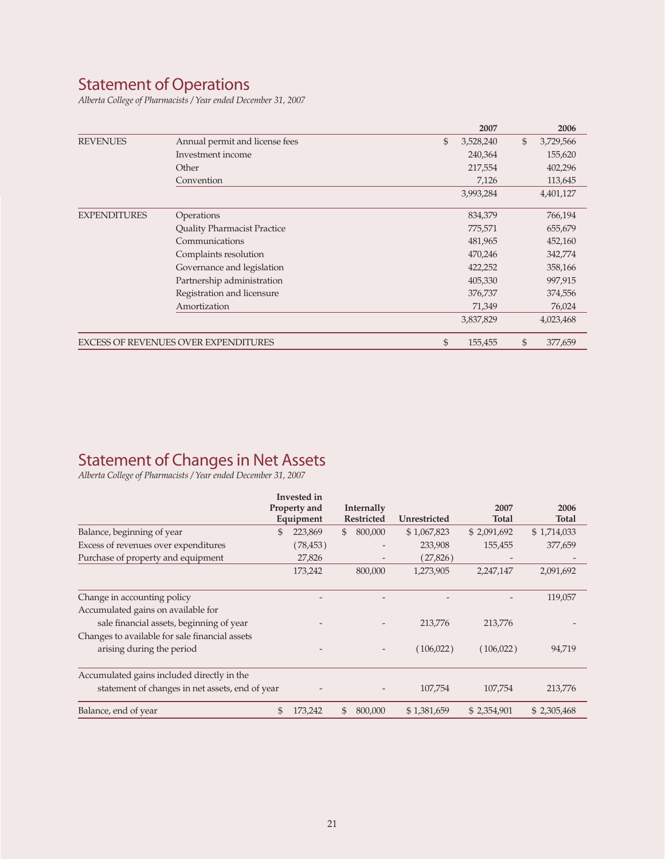# Statement of Operations

*Alberta College of Pharmacists / Year ended December 31, 2007*

|                     |                                      | 2007            | 2006            |
|---------------------|--------------------------------------|-----------------|-----------------|
| <b>REVENUES</b>     | Annual permit and license fees       | \$<br>3,528,240 | \$<br>3,729,566 |
|                     | Investment income                    | 240,364         | 155,620         |
|                     | Other                                | 217,554         | 402,296         |
|                     | Convention                           | 7,126           | 113,645         |
|                     |                                      | 3,993,284       | 4,401,127       |
| <b>EXPENDITURES</b> | Operations                           | 834,379         | 766,194         |
|                     | <b>Quality Pharmacist Practice</b>   | 775,571         | 655,679         |
|                     | Communications                       | 481,965         | 452,160         |
|                     | Complaints resolution                | 470,246         | 342,774         |
|                     | Governance and legislation           | 422,252         | 358,166         |
|                     | Partnership administration           | 405,330         | 997,915         |
|                     | Registration and licensure           | 376,737         | 374,556         |
|                     | Amortization                         | 71,349          | 76,024          |
|                     |                                      | 3,837,829       | 4,023,468       |
|                     | EXCESS OF REVENUES OVER EXPENDITURES | \$<br>155,455   | \$<br>377,659   |

# Statement of Changes in Net Assets

*Alberta College of Pharmacists / Year ended December 31, 2007*

|                                                 | Invested in |              |    |            |              |              |              |  |  |
|-------------------------------------------------|-------------|--------------|----|------------|--------------|--------------|--------------|--|--|
|                                                 |             | Property and |    | Internally |              | 2007         | 2006         |  |  |
|                                                 |             | Equipment    |    | Restricted | Unrestricted | <b>Total</b> | <b>Total</b> |  |  |
| Balance, beginning of year                      | \$          | 223,869      | \$ | 800,000    | \$1,067,823  | \$2,091,692  | \$1,714,033  |  |  |
| Excess of revenues over expenditures            |             | (78, 453)    |    |            | 233,908      | 155,455      | 377,659      |  |  |
| Purchase of property and equipment              |             | 27,826       |    |            | (27,826)     |              |              |  |  |
|                                                 |             | 173,242      |    | 800,000    | 1,273,905    | 2,247,147    | 2,091,692    |  |  |
| Change in accounting policy                     |             |              |    |            |              |              | 119,057      |  |  |
| Accumulated gains on available for              |             |              |    |            |              |              |              |  |  |
| sale financial assets, beginning of year        |             |              |    |            | 213,776      | 213,776      |              |  |  |
| Changes to available for sale financial assets  |             |              |    |            |              |              |              |  |  |
| arising during the period                       |             |              |    |            | (106, 022)   | (106,022)    | 94,719       |  |  |
| Accumulated gains included directly in the      |             |              |    |            |              |              |              |  |  |
| statement of changes in net assets, end of year |             |              |    |            | 107,754      | 107,754      | 213,776      |  |  |
| Balance, end of year                            | \$          | 173,242      | \$ | 800,000    | \$1,381,659  | \$2,354,901  | \$2,305,468  |  |  |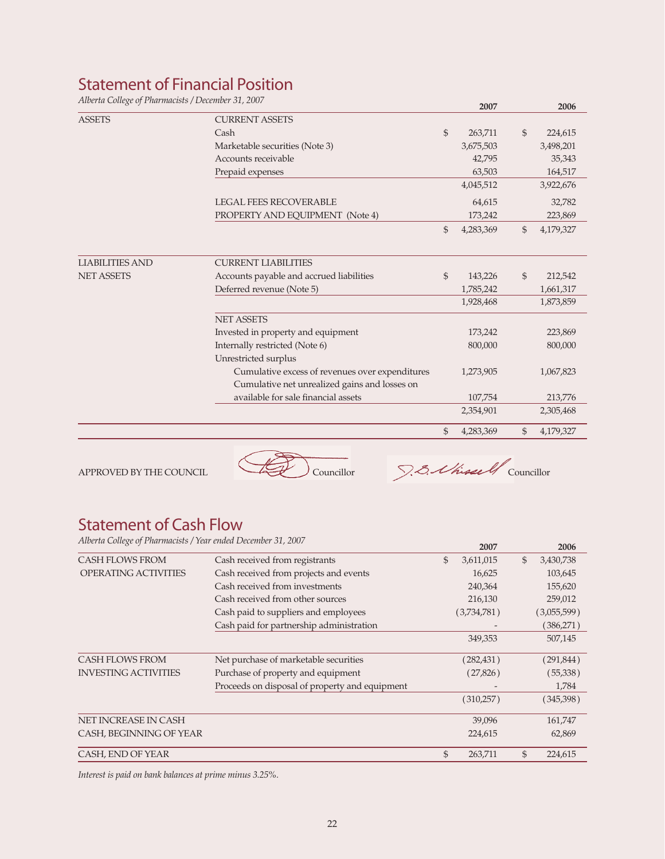# Statement of Financial Position

*Alberta College of Pharmacists / December 31, 2007* **2007 2006**

|                        |                                                 |                | 2007      |                | 2006      |
|------------------------|-------------------------------------------------|----------------|-----------|----------------|-----------|
| <b>ASSETS</b>          | <b>CURRENT ASSETS</b>                           |                |           |                |           |
|                        | Cash                                            | $\mathfrak{S}$ | 263,711   | $\mathfrak{S}$ | 224,615   |
|                        | Marketable securities (Note 3)                  |                | 3,675,503 |                | 3,498,201 |
|                        | Accounts receivable                             |                | 42,795    |                | 35,343    |
|                        | Prepaid expenses                                |                | 63,503    |                | 164,517   |
|                        |                                                 |                | 4,045,512 |                | 3,922,676 |
|                        | <b>LEGAL FEES RECOVERABLE</b>                   |                | 64,615    |                | 32,782    |
|                        | PROPERTY AND EQUIPMENT (Note 4)                 |                | 173,242   |                | 223,869   |
|                        |                                                 | \$             | 4,283,369 | \$             | 4,179,327 |
| <b>LIABILITIES AND</b> | <b>CURRENT LIABILITIES</b>                      |                |           |                |           |
| <b>NET ASSETS</b>      | Accounts payable and accrued liabilities        | $\mathbb{S}$   | 143,226   | $\mathfrak{S}$ | 212,542   |
|                        | Deferred revenue (Note 5)                       |                | 1,785,242 |                | 1,661,317 |
|                        |                                                 |                | 1,928,468 |                | 1,873,859 |
|                        | <b>NET ASSETS</b>                               |                |           |                |           |
|                        | Invested in property and equipment              |                | 173,242   |                | 223,869   |
|                        | Internally restricted (Note 6)                  |                | 800,000   |                | 800,000   |
|                        | Unrestricted surplus                            |                |           |                |           |
|                        | Cumulative excess of revenues over expenditures |                | 1,273,905 |                | 1,067,823 |
|                        | Cumulative net unrealized gains and losses on   |                |           |                |           |
|                        | available for sale financial assets             |                | 107,754   |                | 213,776   |
|                        |                                                 |                | 2,354,901 |                | 2,305,468 |
|                        |                                                 | \$             | 4,283,369 | \$             | 4,179,327 |



# Statement of Cash Flow

*Alberta College of Pharmacists / Year ended December 31, 2007* **2007 2006**

|                             |                                                |                | 2007        | ZUUD            |
|-----------------------------|------------------------------------------------|----------------|-------------|-----------------|
| <b>CASH FLOWS FROM</b>      | Cash received from registrants                 | $\mathfrak{S}$ | 3,611,015   | \$<br>3,430,738 |
| <b>OPERATING ACTIVITIES</b> | Cash received from projects and events         |                | 16,625      | 103,645         |
|                             | Cash received from investments                 |                | 240,364     | 155,620         |
|                             | Cash received from other sources               |                | 216,130     | 259,012         |
|                             | Cash paid to suppliers and employees           |                | (3,734,781) | (3,055,599)     |
|                             | Cash paid for partnership administration       |                |             | (386,271)       |
|                             |                                                |                | 349,353     | 507,145         |
| <b>CASH FLOWS FROM</b>      | Net purchase of marketable securities          |                | (282, 431)  | (291,844)       |
| <b>INVESTING ACTIVITIES</b> | Purchase of property and equipment             |                | (27,826)    | (55,338)        |
|                             | Proceeds on disposal of property and equipment |                |             | 1,784           |
|                             |                                                |                | (310,257)   | (345,398)       |
| NET INCREASE IN CASH        |                                                |                | 39,096      | 161,747         |
| CASH, BEGINNING OF YEAR     |                                                |                | 224,615     | 62,869          |
| CASH, END OF YEAR           |                                                | \$             | 263,711     | \$<br>224,615   |
|                             |                                                |                |             |                 |

*Interest is paid on bank balances at prime minus 3.25%.*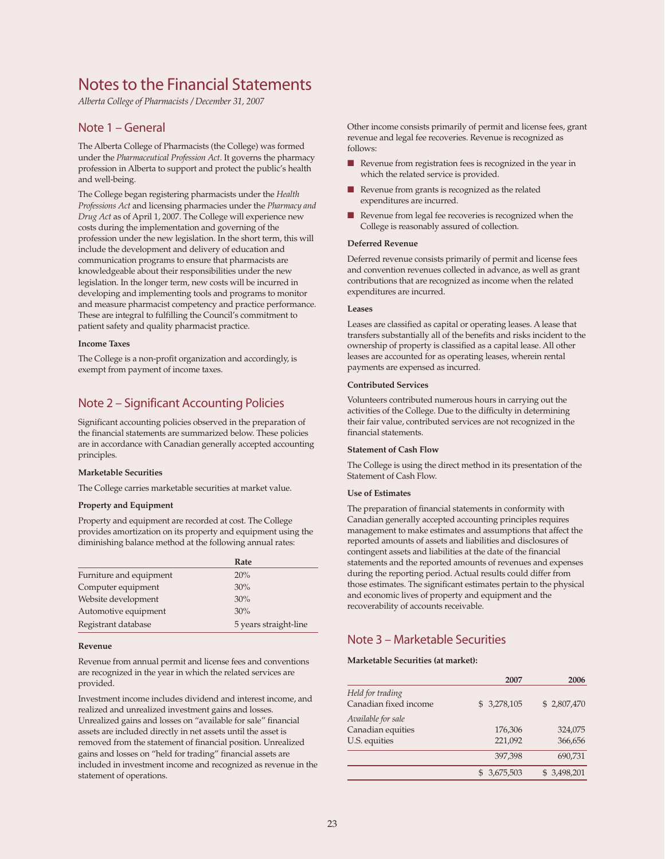# Notes to the Financial Statements

*Alberta College of Pharmacists / December 31, 2007*

### Note 1 – General

The Alberta College of Pharmacists (the College) was formed under the *Pharmaceutical Profession Act*. It governs the pharmacy profession in Alberta to support and protect the public's health and well-being.

The College began registering pharmacists under the *Health Professions Act* and licensing pharmacies under the *Pharmacy and Drug Act* as of April 1, 2007. The College will experience new costs during the implementation and governing of the profession under the new legislation. In the short term, this will include the development and delivery of education and communication programs to ensure that pharmacists are knowledgeable about their responsibilities under the new legislation. In the longer term, new costs will be incurred in developing and implementing tools and programs to monitor and measure pharmacist competency and practice performance. These are integral to fulfilling the Council's commitment to patient safety and quality pharmacist practice.

#### **Income Taxes**

The College is a non-profit organization and accordingly, is exempt from payment of income taxes.

# Note 2 – Significant Accounting Policies

Significant accounting policies observed in the preparation of the financial statements are summarized below. These policies are in accordance with Canadian generally accepted accounting principles.

#### **Marketable Securities**

The College carries marketable securities at market value.

### **Property and Equipment**

Property and equipment are recorded at cost. The College provides amortization on its property and equipment using the diminishing balance method at the following annual rates:

|                         | Rate                  |
|-------------------------|-----------------------|
| Furniture and equipment | 20%                   |
| Computer equipment      | 30%                   |
| Website development     | 30%                   |
| Automotive equipment    | 30%                   |
| Registrant database     | 5 years straight-line |

#### **Revenue**

Revenue from annual permit and license fees and conventions are recognized in the year in which the related services are provided.

Investment income includes dividend and interest income, and realized and unrealized investment gains and losses. Unrealized gains and losses on "available for sale" financial assets are included directly in net assets until the asset is removed from the statement of financial position. Unrealized gains and losses on "held for trading" financial assets are included in investment income and recognized as revenue in the statement of operations.

Other income consists primarily of permit and license fees, grant revenue and legal fee recoveries. Revenue is recognized as follows:

- Revenue from registration fees is recognized in the year in which the related service is provided.
- Revenue from grants is recognized as the related expenditures are incurred.
- Revenue from legal fee recoveries is recognized when the College is reasonably assured of collection.

#### **Deferred Revenue**

Deferred revenue consists primarily of permit and license fees and convention revenues collected in advance, as well as grant contributions that are recognized as income when the related expenditures are incurred.

#### **Leases**

Leases are classified as capital or operating leases. A lease that transfers substantially all of the benefits and risks incident to the ownership of property is classified as a capital lease. All other leases are accounted for as operating leases, wherein rental payments are expensed as incurred.

#### **Contributed Services**

Volunteers contributed numerous hours in carrying out the activities of the College. Due to the difficulty in determining their fair value, contributed services are not recognized in the financial statements.

#### **Statement of Cash Flow**

The College is using the direct method in its presentation of the Statement of Cash Flow.

### **Use of Estimates**

The preparation of financial statements in conformity with Canadian generally accepted accounting principles requires management to make estimates and assumptions that affect the reported amounts of assets and liabilities and disclosures of contingent assets and liabilities at the date of the financial statements and the reported amounts of revenues and expenses during the reporting period. Actual results could differ from those estimates. The significant estimates pertain to the physical and economic lives of property and equipment and the recoverability of accounts receivable.

### Note 3 – Marketable Securities

#### **Marketable Securities (at market):**

|                                                          | 2007               | 2006               |
|----------------------------------------------------------|--------------------|--------------------|
| Held for trading<br>Canadian fixed income                | \$3,278,105        | \$2,807,470        |
| Available for sale<br>Canadian equities<br>U.S. equities | 176,306<br>221,092 | 324,075<br>366,656 |
|                                                          | 397,398            | 690,731            |
|                                                          | 3,675,503          | \$3,498,201        |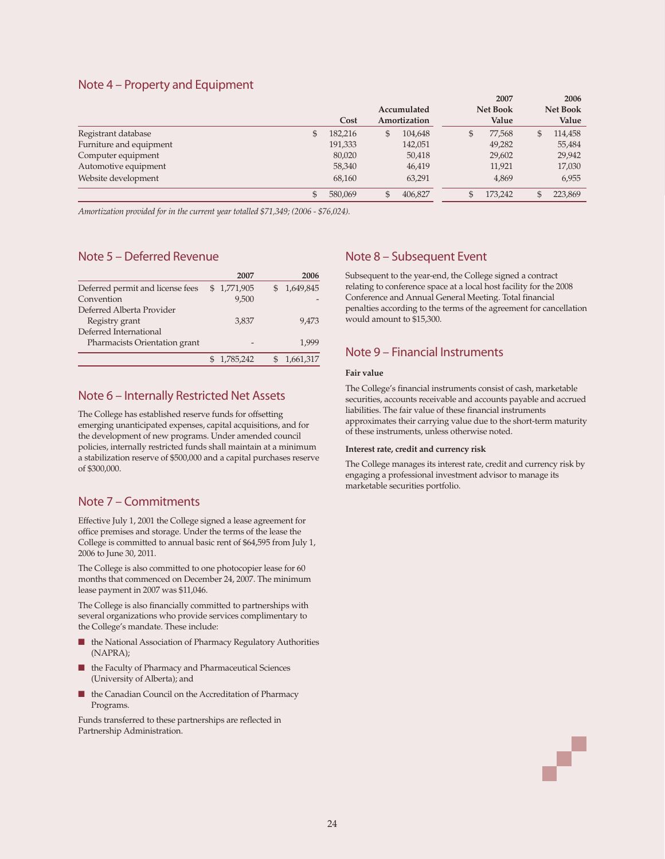### Note 4 – Property and Equipment

|                         |               |             |              |                 | 2007    |                 | 2006    |
|-------------------------|---------------|-------------|--------------|-----------------|---------|-----------------|---------|
|                         |               | Accumulated |              | <b>Net Book</b> |         | <b>Net Book</b> |         |
|                         | Cost          |             | Amortization |                 | Value   |                 | Value   |
| Registrant database     | \$<br>182,216 | £           | 104,648      | \$              | 77,568  | \$              | 114,458 |
| Furniture and equipment | 191,333       |             | 142,051      |                 | 49,282  |                 | 55,484  |
| Computer equipment      | 80,020        |             | 50,418       |                 | 29,602  |                 | 29,942  |
| Automotive equipment    | 58,340        |             | 46,419       |                 | 11,921  |                 | 17,030  |
| Website development     | 68,160        |             | 63,291       |                 | 4,869   |                 | 6,955   |
|                         | 580,069       |             | 406,827      |                 | 173,242 | $\mathcal{S}$   | 223,869 |

*Amortization provided for in the current year totalled \$71,349; (2006 - \$76,024).*

# Note 5 – Deferred Revenue

|                                  | 2007        | 2006      |
|----------------------------------|-------------|-----------|
| Deferred permit and license fees | \$1,771,905 | 1,649,845 |
| Convention                       | 9,500       |           |
| Deferred Alberta Provider        |             |           |
| Registry grant                   | 3.837       | 9.473     |
| Deferred International           |             |           |
| Pharmacists Orientation grant    |             | 1.999     |
|                                  | 1,785,242   | 1,661,317 |

### Note 6 – Internally Restricted Net Assets

The College has established reserve funds for offsetting emerging unanticipated expenses, capital acquisitions, and for the development of new programs. Under amended council policies, internally restricted funds shall maintain at a minimum a stabilization reserve of \$500,000 and a capital purchases reserve of \$300,000.

## Note 7 – Commitments

Effective July 1, 2001 the College signed a lease agreement for office premises and storage. Under the terms of the lease the College is committed to annual basic rent of \$64,595 from July 1, 2006 to June 30, 2011.

The College is also committed to one photocopier lease for 60 months that commenced on December 24, 2007. The minimum lease payment in 2007 was \$11,046.

The College is also financially committed to partnerships with several organizations who provide services complimentary to the College's mandate. These include:

- the National Association of Pharmacy Regulatory Authorities (NAPRA);
- the Faculty of Pharmacy and Pharmaceutical Sciences (University of Alberta); and
- the Canadian Council on the Accreditation of Pharmacy Programs.

Funds transferred to these partnerships are reflected in Partnership Administration.

# Note 8 – Subsequent Event

Subsequent to the year-end, the College signed a contract relating to conference space at a local host facility for the 2008 Conference and Annual General Meeting. Total financial penalties according to the terms of the agreement for cancellation would amount to \$15,300.

## Note 9 – Financial Instruments

### **Fair value**

The College's financial instruments consist of cash, marketable securities, accounts receivable and accounts payable and accrued liabilities. The fair value of these financial instruments approximates their carrying value due to the short-term maturity of these instruments, unless otherwise noted.

#### **Interest rate, credit and currency risk**

The College manages its interest rate, credit and currency risk by engaging a professional investment advisor to manage its marketable securities portfolio.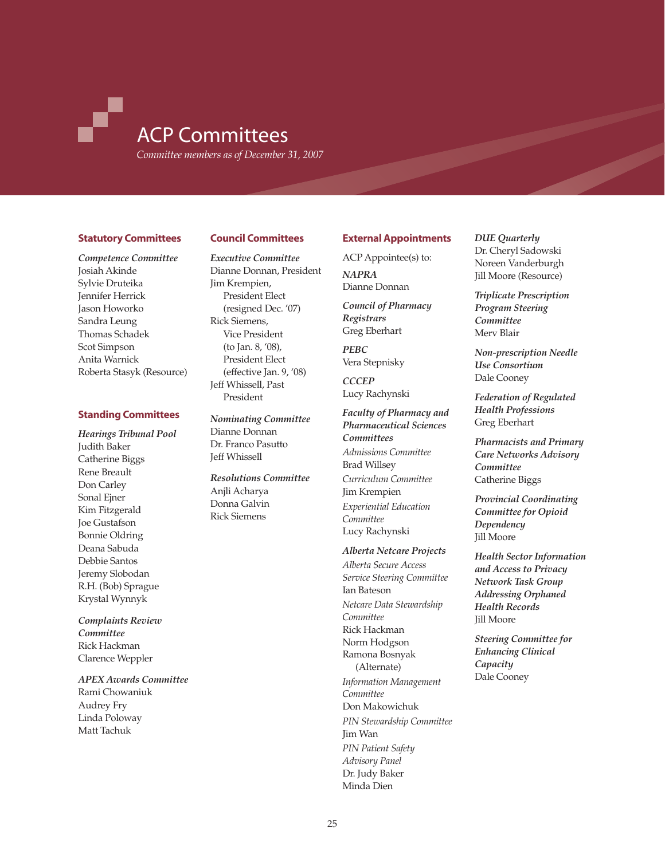# ACP Committees

*Committee members as of December 31, 2007*

### **Statutory Committees**

### *Competence Committee* Josiah Akinde Sylvie Druteika Jennifer Herrick Jason Howorko Sandra Leung Thomas Schadek Scot Simpson Anita Warnick Roberta Stasyk (Resource)

### **Standing Committees**

*Hearings Tribunal Pool* Judith Baker Catherine Biggs Rene Breault Don Carley Sonal Ejner Kim Fitzgerald Joe Gustafson Bonnie Oldring Deana Sabuda Debbie Santos Jeremy Slobodan R.H. (Bob) Sprague Krystal Wynnyk

*Complaints Review Committee* Rick Hackman Clarence Weppler

### *APEX Awards Committee* Rami Chowaniuk Audrey Fry Linda Poloway Matt Tachuk

### **Council Committees**

*Executive Committee* Dianne Donnan, President Jim Krempien, President Elect (resigned Dec. '07) Rick Siemens, Vice President (to Jan. 8, '08), President Elect (effective Jan. 9, '08) Jeff Whissell, Past President

*Nominating Committee* Dianne Donnan Dr. Franco Pasutto Jeff Whissell

*Resolutions Committee* Anjli Acharya Donna Galvin Rick Siemens

### **External Appointments**

ACP Appointee(s) to: *NAPRA* Dianne Donnan

*Council of Pharmacy Registrars* Greg Eberhart

*PEBC* Vera Stepnisky

*CCCEP* Lucy Rachynski

### *Faculty of Pharmacy and Pharmaceutical Sciences Committees Admissions Committee* Brad Willsey *Curriculum Committee* Jim Krempien *Experiential Education Committee* Lucy Rachynski

### *Alberta Netcare Projects*

*Alberta Secure Access Service Steering Committee* Ian Bateson *Netcare Data Stewardship Committee* Rick Hackman Norm Hodgson Ramona Bosnyak (Alternate) *Information Management Committee* Don Makowichuk *PIN Stewardship Committee* Jim Wan *PIN Patient Safety Advisory Panel* Dr. Judy Baker Minda Dien

### *DUE Quarterly*

Dr. Cheryl Sadowski Noreen Vanderburgh Jill Moore (Resource)

*Triplicate Prescription Program Steering Committee* Merv Blair

*Non-prescription Needle Use Consortium* Dale Cooney

*Federation of Regulated Health Professions* Greg Eberhart

*Pharmacists and Primary Care Networks Advisory Committee* Catherine Biggs

*Provincial Coordinating Committee for Opioid Dependency* Jill Moore

*Health Sector Information and Access to Privacy Network Task Group Addressing Orphaned Health Records* Jill Moore

*Steering Committee for Enhancing Clinical Capacity*  Dale Cooney